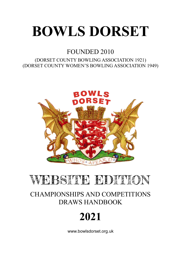# **BOWLS DORSET**

## FOUNDED 2010

## (DORSET COUNTY BOWLING ASSOCIATION 1921) (DORSET COUNTY WOMEN'S BOWLING ASSOCIATION 1949)



# WEBSITE EDITION

## CHAMPIONSHIPS AND COMPETITIONS DRAWS HANDBOOK

# **2021**

www.bowlsdorset.org.uk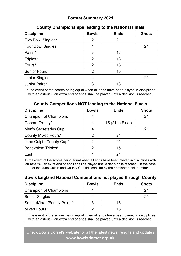## **Format Summary 2021**

| <b>Discipline</b>                                                                    | <b>Bowls</b>   | <b>Ends</b> | <b>Shots</b> |
|--------------------------------------------------------------------------------------|----------------|-------------|--------------|
| Two Bowl Singles*                                                                    | 2              | 21          |              |
| Four Bowl Singles                                                                    | 4              |             | 21           |
| Pairs *                                                                              | 3              | 18          |              |
| Triples*                                                                             | 2              | 18          |              |
| Fours*                                                                               | 2              | 15          |              |
| Senior Fours*                                                                        | $\overline{2}$ | 15          |              |
| <b>Junior Singles</b>                                                                | 4              |             | 21           |
| Junior Pairs*                                                                        | 3              | 18          |              |
| La the ovent of the seeree being equal when all ends hove heap played in disciplines |                |             |              |

## **County Championships leading to the National Finals**

In the event of the scores being equal when all ends have been played in disciplines with an asterisk, an extra end or ends shall be played until a decision is reached.

## **County Competitions NOT leading to the National Finals**

| <b>Discipline</b>            | <b>Bowls</b> | <b>Ends</b>      | <b>Shots</b> |
|------------------------------|--------------|------------------|--------------|
| <b>Champion of Champions</b> | 4            |                  | 21           |
| Cobern Trophy*               | 4            | 15 (21 in Final) |              |
| Men's Secretaries Cup        | 4            |                  | 21           |
| <b>County Mixed Fours*</b>   | 2            | 21               |              |
| June Culpin/County Cup*      | 2            | 21               |              |
| <b>Benevolent Triples*</b>   | $\mathcal P$ | 15               |              |
| Lust                         | 4            | 21               |              |
|                              |              |                  |              |

In the event of the scores being equal when all ends have been played in disciplines with an asterisk, an extra end or ends shall be played until a decision is reached. In the case of the June Culpin and County Cup this shall be by the nominated rink number.

## **Bowls England National Competitions not played through County**

| <b>Discipline</b>                                                                                                                                                           | <b>Bowls</b> | <b>Ends</b> | <b>Shots</b> |  |
|-----------------------------------------------------------------------------------------------------------------------------------------------------------------------------|--------------|-------------|--------------|--|
| <b>Champion of Champions</b>                                                                                                                                                |              |             | 21           |  |
| <b>Senior Singles</b>                                                                                                                                                       |              |             | 21           |  |
| Senior/Mixed/Family Pairs *                                                                                                                                                 | 3            | 18          |              |  |
| Mixed Fours*                                                                                                                                                                | 2            | 15          |              |  |
| In the event of the scores being equal when all ends have been played in disciplines<br>with an asterisk, an extra end or ends shall be played until a decision is reached. |              |             |              |  |

Check Bowls Dorset's website for all the latest news, results and updates **www.bowlsdorset.org.uk**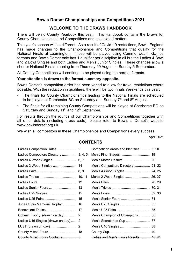## **Bowls Dorset Championships and Competitions 2021**

## **WELCOME TO THE DRAWS HANDBOOK**

There will be no County Yearbook this year. This Handbook contains the Draws for County Championships and Competitions and associated matters.

This year's season will be different. As a result of Covid-19 restrictions, Bowls England has made changes to the Championships and Competitions that qualify for the National Finals at Leamington. These will be played using Commonwealth Games formats and Bowls Dorset only has 1 qualifier per discipline in all but the Ladies 4 Bowl and 2 Bowl Singles and both Ladies and Men's Junior Singles. These changes allow a shorter National Finals, running from Thursday 19 August to Sunday 5 September.

All County Competitions will continue to be played using the normal formats.

## **Your attention is drawn to the format summary opposite.**

Bowls Dorset's competition order has been varied to allow for travel restrictions where possible. With the reduction in qualifiers, there will be two Finals Weekends this year:

- The finals for County Championships leading to the National Finals are scheduled to be played at Dorchester BC on Saturday and Sunday  $7<sup>th</sup>$  and  $8<sup>th</sup>$  August.
- The finals for all remaining County Competitions will be played at Sherborne BC on Saturday and Sunday 11<sup>th</sup> and 12<sup>th</sup> September.

For results through the rounds of our Championships and Competitions together with all other details (including dress code), please refer to Bowls a Dorset's website www.bowlsdorset.org.uk

We wish all competitors in these Championships and Competitions every success.

April 2021

## **CONTENTS**

|                                       | Competition Areas and Identities 5, 20 |  |
|---------------------------------------|----------------------------------------|--|
| Ladies Competitors Directory  3, 4, 5 |                                        |  |
|                                       |                                        |  |
|                                       | Men's Competitors Directory  21-23     |  |
|                                       |                                        |  |
|                                       | Men's 2 Wood Singles  26, 27           |  |
|                                       |                                        |  |
| Ladies Senior Fours  13               |                                        |  |
|                                       |                                        |  |
|                                       |                                        |  |
| June Culpin Memorial Trophy  16       |                                        |  |
|                                       |                                        |  |
|                                       | Men's Champion of Champions  36        |  |
| Ladies U16 Singles (drawn on day)  2  |                                        |  |
|                                       |                                        |  |
|                                       |                                        |  |
| County Mixed Fours Contacts 5         | Ladies and Men's Finals Results 40, 41 |  |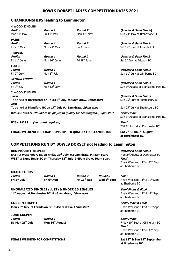#### **BOWLS DORSET LADIES COMPETITION DATES 2021**

#### **CHAMPIONSHIPS leading to Leamington**

| <b>4 WOOD SINGLES</b>     |                                                                                 |                                                                         |                                                                      |
|---------------------------|---------------------------------------------------------------------------------|-------------------------------------------------------------------------|----------------------------------------------------------------------|
| Prelim                    | Round 1                                                                         | Round 2                                                                 | Quarter & Semi Finals                                                |
| Mon 10 <sup>th</sup> May  | Fri 14 <sup>th</sup> May                                                        | Mon 17 <sup>th</sup> May                                                | Sun 23rd May at Broadstone BC                                        |
| <b>PAIRS</b>              |                                                                                 |                                                                         |                                                                      |
| <b>Prelim</b>             | Round 1                                                                         | <b>Round 2</b>                                                          | <b>Quarter &amp; Semi Finals</b>                                     |
| Fri 21 <sup>st</sup> May  | Mon 24th May                                                                    | Fri 4 <sup>th</sup> June                                                | Sat 12 <sup>th</sup> June at Greenhill BC                            |
| <b>TRIPLES</b>            |                                                                                 |                                                                         |                                                                      |
| <b>Prelim</b>             | Round 1                                                                         | <b>Round 2</b>                                                          | <b>Quarter &amp; Semi Finals</b>                                     |
| Fri 11 <sup>th</sup> June | Mon $14th$ June                                                                 | Fri 18 <sup>th</sup> June                                               | Sat 3rd July at Bridport BC                                          |
| <b>FOURS</b>              |                                                                                 |                                                                         |                                                                      |
| <b>Prelim</b>             | Round 1                                                                         |                                                                         | <b>Quarter &amp; Semi Finals</b>                                     |
| Fri 2 <sup>nd</sup> July  | Mon 5 <sup>th</sup> July                                                        |                                                                         | Sun 11 <sup>th</sup> July at Wimborne BC                             |
| <b>SENIOR FOURS</b>       |                                                                                 |                                                                         |                                                                      |
| <b>Prelim</b>             | Round 1                                                                         |                                                                         | <b>Quarter &amp; Semi Finals</b>                                     |
| Fri 9 <sup>th</sup> July  | Mon 12 <sup>th</sup> July                                                       |                                                                         | Sun 1 <sup>st</sup> August at Branksome Park BC                      |
| <b>2 WOOD SINGLES</b>     |                                                                                 |                                                                         |                                                                      |
| West                      |                                                                                 |                                                                         | <b>Quarter &amp; Semi Finals</b>                                     |
| East                      | To be held at Dorchester on Thurs 8 <sup>th</sup> July, 9.45am draw, 10am start |                                                                         | Sun 25 <sup>th</sup> July at Shaftesbury BC                          |
|                           | To be held at Blandford BC on 17 <sup>th</sup> July 9.45am draw, 10am start     |                                                                         | Sun 25 <sup>th</sup> July at Shaftesbury BC                          |
|                           |                                                                                 | U25's SINGLES (Round to be played to qualify for Leamington), 2pm start | <b>Semi Finals</b>                                                   |
|                           |                                                                                 |                                                                         | Sun 1 <sup>st</sup> August at Branksome Park BC                      |
| <b>U25's PAIRS</b>        | (no round required)                                                             |                                                                         | Final                                                                |
|                           |                                                                                 |                                                                         | 7th & 8th August at Dorchester BC                                    |
|                           |                                                                                 | FINALS WEEKEND FOR CHAMPIONSHIPS TO QUALIFY FOR LEAMINGTON              | Sat 7 <sup>th</sup> & Sun 8 <sup>th</sup> August<br>at Dorchester BC |
|                           |                                                                                 | <b>COMPETITIONS RUN BY BOWLS DORSET not leading to Leamington</b>       |                                                                      |

#### **BENEVOLENT TRIPLES Quarter & Semi Finals**

**EAST** at West Moors BC on Friday 30<sup>th</sup> July 9.30am draw. 9.45am start Mon 2<sup>nd</sup> August at Dorchester BC **WEST** at **Lyme Regis BC on Thursday 15th July 9.45am draw. 10am start Final**

#### **MIXED FOURS**

**Prelim Round 1 Round 2 Round 3 Final**

**UNQUALIFIED SINGLES (LUST) & UNDER 16 SINGLES** *Semi Finals & Final* **14<sup>th</sup> August at Dorchester BC 9.45 am draw,** *10am start* **Finals Weekend 11<sup>th</sup> & 12<sup>th</sup> Sept** 

**COBERN TROPHY Semi Finals & Final Mon 26<sup>th</sup> July** at Ferndown BC 9.45am draw, *10am start* Finals Weekend 11<sup>th</sup> & 12<sup>th</sup> Sept

#### **JUNE CULPIN**

**Prelim Round 1 Semi Finals** 

**FINALS WEEKEND FOR COMPETITIONS Sat 11th & Sun 12th September**

Finals Weekend  $11^{th}$  or  $12^{th}$  Sept at Sherborne BC

**Fri 2nd July Fri 6th Aug Fri 13th Aug Wed 6th Sept** Finals Weekend 11th & 12th Sept at Sherborne BC

at Sherborne BC

at Sherborne BC

**By Mon 26<sup>th</sup> July <b>Mon 16<sup>th</sup> August Example 20 Example 20 Example 20 Friday 10<sup>th</sup> Sept at Gillingham BC Final** Finals Weekend 11<sup>th</sup> or 12<sup>th</sup> Sept at Sherborne BC

**at Sherborne BC**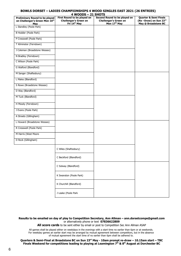#### **BOWLS DORSET – LADIES CHAMPIONSHIPS 4 WOOD SINGLES EAST 2021 (26 ENTRIES) 4 WOODS – 21 SHOTS**

| <b>Preliminary Round to be played</b><br>on Challenger's Green Mon 10th<br>May | - - - - - -<br>First Round to be played on<br><b>Challenger's Green on</b><br>Fri 14 <sup>th</sup> May | Second Round to be played on<br><b>Challenger's Green on</b><br>Mon 17 <sup>th</sup> May | <b>Quarter &amp; Semi Finals</b><br>(Re-Draw) on Sun 23rd<br>May @ Broadstone BC |
|--------------------------------------------------------------------------------|--------------------------------------------------------------------------------------------------------|------------------------------------------------------------------------------------------|----------------------------------------------------------------------------------|
| L Standley (Poole Park)                                                        |                                                                                                        |                                                                                          |                                                                                  |
| B Hodder (Poole Park)                                                          |                                                                                                        |                                                                                          |                                                                                  |
| P Cresswell (Poole Park)                                                       |                                                                                                        |                                                                                          |                                                                                  |
| T Kilminster (Ferndown)                                                        |                                                                                                        |                                                                                          |                                                                                  |
| J Coleman (Broadstone Wessex)                                                  |                                                                                                        |                                                                                          |                                                                                  |
| N Bradley (Ferndown)                                                           |                                                                                                        |                                                                                          |                                                                                  |
| C Wilson (Poole Park)                                                          |                                                                                                        |                                                                                          |                                                                                  |
| G Walford (Blandford)                                                          |                                                                                                        |                                                                                          |                                                                                  |
| M Sanger (Shaftesbury)                                                         |                                                                                                        |                                                                                          |                                                                                  |
| L Males (Blandford)                                                            |                                                                                                        |                                                                                          |                                                                                  |
| S Rowe (Broadstone Wessex)                                                     |                                                                                                        |                                                                                          |                                                                                  |
| D Way (Blandford)                                                              |                                                                                                        |                                                                                          |                                                                                  |
| M Tuck (Blandford)                                                             |                                                                                                        |                                                                                          |                                                                                  |
| H Moody (Ferndown)                                                             |                                                                                                        |                                                                                          |                                                                                  |
| J Evans (Poole Park)                                                           |                                                                                                        |                                                                                          |                                                                                  |
| A Streets (Gillingham)                                                         |                                                                                                        |                                                                                          |                                                                                  |
| L Howard (Broadstone Wessex)                                                   |                                                                                                        |                                                                                          |                                                                                  |
| R Cresswell (Poole Park)                                                       |                                                                                                        |                                                                                          |                                                                                  |
| M Harris (West Moors                                                           |                                                                                                        |                                                                                          |                                                                                  |
| D Rock (Gillingham)                                                            |                                                                                                        |                                                                                          |                                                                                  |
|                                                                                |                                                                                                        |                                                                                          |                                                                                  |
|                                                                                | C Wiles (Shaftesbury)                                                                                  |                                                                                          |                                                                                  |
|                                                                                | C Beckford (Blandford)                                                                                 |                                                                                          |                                                                                  |
|                                                                                | C Solway (Blandford)                                                                                   |                                                                                          |                                                                                  |
|                                                                                | K Swanston (Poole Park)                                                                                |                                                                                          |                                                                                  |
|                                                                                | K Churchill (Blandford)                                                                                |                                                                                          |                                                                                  |
|                                                                                | J Leake (Poole Park                                                                                    |                                                                                          |                                                                                  |

**Results to be emailed on day of play to Competition Secretary, Ann Allman – ann.dorsetcomps@gmail.com** or alternatively phone or text **07836622809**

**All score cards** to be sent either by email or post to Competition Sec Ann Allman ASAP

All games shall be played either on weekdays in the evenings with a start time no earlier than 6pm or at weekends. For weekday games an earlier start may be arranged by mutual agreement between competitors, but in the absence of mutual agreement the start time of no earlier than 6pm shall be adhered to.

**Quarters & Semi-Final at Broadstone BC on Sun 23rd May - 10am prompt re-draw – 10.15am start – TBC Finals Weekend for competitions leading to playing at Leamington 7th & 8th August at Dorchester BC**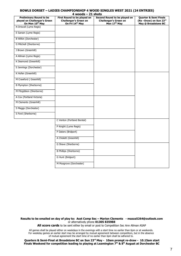## **BOWLS DORSET – LADIES CHAMPIONSHIP 4 WOOD SINGLES WEST 2021 (24 ENTRIES)**

| $4$ woods $-$ 21 shots |  |
|------------------------|--|
|------------------------|--|

| <b>Preliminary Round to be</b><br>played on Challenger's Green<br>On Mon 10th May | First Round to be played on<br><b>Challenger's Green on</b><br>On Fri 14 <sup>th</sup> May | Second Round to be played on<br><b>Challenger's Green on</b><br>Mon 17th May | <b>Quarter &amp; Semi Finals</b><br>(Re-Draw) on Sun 23rd<br>May @ Broadstone BC |
|-----------------------------------------------------------------------------------|--------------------------------------------------------------------------------------------|------------------------------------------------------------------------------|----------------------------------------------------------------------------------|
| N Driscoll (Lyme Regis)                                                           |                                                                                            |                                                                              |                                                                                  |
| E Sarson (Lyme Regis)                                                             |                                                                                            |                                                                              |                                                                                  |
| <b>B Wilkin (Dorchester)</b>                                                      |                                                                                            |                                                                              |                                                                                  |
| G Mitchell (Sherborne)                                                            |                                                                                            |                                                                              |                                                                                  |
| J Brown (Greenhill)                                                               |                                                                                            |                                                                              |                                                                                  |
| A Allman (Lyme Regis)                                                             |                                                                                            |                                                                              |                                                                                  |
| K Desmond (Greenhill)                                                             |                                                                                            |                                                                              |                                                                                  |
| S Jennings (Dorchester)                                                           |                                                                                            |                                                                              |                                                                                  |
| K Hofen (Greenhill)                                                               |                                                                                            |                                                                              |                                                                                  |
| M Crawford (Greenhill)                                                            |                                                                                            |                                                                              |                                                                                  |
| <b>B Plympton (Sherborne)</b>                                                     |                                                                                            |                                                                              |                                                                                  |
| M Fitzgibbon (Sherborne)                                                          |                                                                                            |                                                                              |                                                                                  |
| A Cox (Portland Victoria)                                                         |                                                                                            |                                                                              |                                                                                  |
| M Clements (Greenhill)                                                            |                                                                                            |                                                                              |                                                                                  |
| S Maggs (Dorchester)                                                              |                                                                                            |                                                                              |                                                                                  |
| S Ford (Sherborne)                                                                |                                                                                            |                                                                              |                                                                                  |
|                                                                                   | C Venton (Portland Borstal)                                                                |                                                                              |                                                                                  |
|                                                                                   | P Knight (Lyme Regis)                                                                      |                                                                              |                                                                                  |
|                                                                                   | P Daters (Bridport)                                                                        |                                                                              |                                                                                  |
|                                                                                   | A Chislett (Greenhill)                                                                     |                                                                              |                                                                                  |
|                                                                                   | G Shave (Sherborne)                                                                        |                                                                              |                                                                                  |
|                                                                                   | <b>B Phillips (Sherborne)</b>                                                              |                                                                              |                                                                                  |
|                                                                                   | G Hunt (Bridport)                                                                          |                                                                              |                                                                                  |
|                                                                                   | M Musgrove (Dorchester)                                                                    |                                                                              |                                                                                  |
|                                                                                   |                                                                                            |                                                                              |                                                                                  |

**Results to be emailed on day of play to: Asst Comp Sec – Marion Clements - mazza5264@outlook.com** or alternatively phone **01305 835988**

All score cards to be sent either by email or post to Competition Sec Ann Allman ASAP

All games shall be played either on weekdays in the evenings with a start time no earlier than 6pm or at weekends. For weekday games an earlier start may be arranged by mutual agreement between competitors, but in the absence of mutual agreement the start time of no earlier than 6pm shall be adhered to.

**Quarters & Semi-Final at Broadstone BC on Sun 23rd May - 10am prompt re-draw - 10.15am start Finals Weekend for competition leading to playing at Leamington 7th & 8th August at Dorchester BC**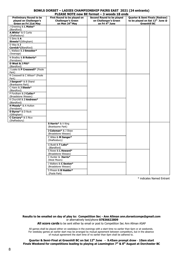#### **BOWLS DORSET – LADIES CHAMPIONSHIP PAIRS EAST 2021 (24 entrants) PLEASE NOTE new BE format – 3 woods 18 ends**

|                                | .LAJL IVIL II               | UUUJ LU CIIUJ<br>Second Round to be played |                                                        |  |
|--------------------------------|-----------------------------|--------------------------------------------|--------------------------------------------------------|--|
| <b>Preliminary Round to be</b> | First Round to be played on | on Challenger's Green                      | Quarter & Semi Finals (Redraw)                         |  |
| played on Challenger's         | <b>Challenger's Green</b>   |                                            | to be played on Sat 12th June @<br><b>Greenhill BC</b> |  |
| Green on Fri 21st May          | on Mon 24th May             | on Fri 4th June                            |                                                        |  |
| J Greening & L Males*          |                             |                                            |                                                        |  |
| (Blandford)                    |                             |                                            |                                                        |  |
| A.White* & E Curtis            |                             |                                            |                                                        |  |
| (Shaftesbury)                  |                             |                                            |                                                        |  |
| S Sims & A                     |                             |                                            |                                                        |  |
| Streets*(Gillingham)           |                             |                                            |                                                        |  |
| D Way $&$ J                    |                             |                                            |                                                        |  |
| Cornick*(Blandford)            |                             |                                            |                                                        |  |
| L Wallace & J Smooker*         |                             |                                            |                                                        |  |
| (Swanage)                      |                             |                                            |                                                        |  |
| N Bradley & <b>B Roberts*</b>  |                             |                                            |                                                        |  |
| (Ferndown)                     |                             |                                            |                                                        |  |
| D West & J Pitt*               |                             |                                            |                                                        |  |
| (Blandford)                    |                             |                                            |                                                        |  |
| J Leake & P Cresswell* (Poole  |                             |                                            |                                                        |  |
| Park)                          |                             |                                            |                                                        |  |
| R Cresswell & C Wilson* (Poole |                             |                                            |                                                        |  |
| Park)                          |                             |                                            |                                                        |  |
| J Sargent* & B Shand           |                             |                                            |                                                        |  |
| (Branksome Park)               |                             |                                            |                                                        |  |
| C Hann & J Steele*             |                             |                                            |                                                        |  |
| (Blandford)                    |                             |                                            |                                                        |  |
| P Fordham & J Cutler*          |                             |                                            |                                                        |  |
| (Broadstone Wessex)            |                             |                                            |                                                        |  |
| K Churchill & J Andrews*       |                             |                                            |                                                        |  |
| (Blandford)                    |                             |                                            |                                                        |  |
| H Moody* & A Hutton            |                             |                                            |                                                        |  |
| (Ferndown)                     |                             |                                            |                                                        |  |
| D Byrne* & D Rock              |                             |                                            |                                                        |  |
| (Gillingham)                   |                             |                                            |                                                        |  |
| C Carcary* & S Rice            |                             |                                            |                                                        |  |
| (Shaftesbury)                  |                             |                                            |                                                        |  |
|                                | S Harris* & V King          |                                            |                                                        |  |
|                                | (Branksome Park)            |                                            |                                                        |  |
|                                |                             |                                            |                                                        |  |
|                                | J Coleman* & J Shaw         |                                            |                                                        |  |
|                                | (Broadstone Wessex)         |                                            |                                                        |  |
|                                | C Wiles & M Sanger*         |                                            |                                                        |  |
|                                | (Shaftesbury)               |                                            |                                                        |  |
|                                | G Budd & T Lake*            |                                            |                                                        |  |
|                                | (Blandford)                 |                                            |                                                        |  |
|                                | S Rowe & L Howard*          |                                            |                                                        |  |
|                                | (Broadstone Wessex)         |                                            |                                                        |  |
|                                | C Hunter & Harris*          |                                            |                                                        |  |
|                                |                             |                                            |                                                        |  |
|                                | (West Moors)                |                                            |                                                        |  |
|                                | J Walters & C Sexton*       |                                            |                                                        |  |
|                                | (Broadstone Wessex)         |                                            |                                                        |  |
|                                | S Pinson & <b>B Hodder*</b> |                                            |                                                        |  |
|                                | (Poole Park)                |                                            |                                                        |  |
|                                |                             |                                            |                                                        |  |

\* indicates Named Entrant

**Results to be emailed on day of play to: Competition Sec - Ann Allman ann.dorsetcomps@gmail.com** or alternatively text/phone **07836622809**

All score cards to be sent either by email or post to Competition Sec Ann Allman ASAP

**The Competition Sec. must be informed of any substitution before they**  All games shall be played either on weekdays in the evenings with a start time no earlier than 6pm or at weekends. For weekday games an earlier start may be arranged by mutual agreement between competitors, but in the absence of mutual agreement the start time of no earlier than 6pm shall be adhered to.

**Quarter & Semi-Final at Greenhill BC on Sat 12th June - 9.45am prompt draw** - **10am start Finals Weekend for competitions leading to playing at Leamington 7th & 8th August at Dorchester BC**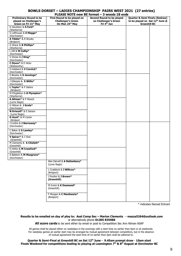#### **BOWLS DORSET – LADIES CHAMPIONSHIP PAIRS WEST 2021 (27 entries) PLEASE NOTE new BE format – 3 woods 18 ends**

| <b>Preliminary Round to be</b><br>played on Challenger's<br>Green on Fri 21st May | -NYL IVY I L II<br>First Round to be played on<br><b>Challenger's Green</b><br>On Mon 24th May | Second Round to be played<br>on Challenger's Green<br>Fri 4 <sup>th</sup> Jun | Quarter & Semi Finals (Redraw)<br>to be played on Sat 12th June @<br><b>Greenhill BC</b> |
|-----------------------------------------------------------------------------------|------------------------------------------------------------------------------------------------|-------------------------------------------------------------------------------|------------------------------------------------------------------------------------------|
| D Davidson & S Ford*                                                              |                                                                                                |                                                                               |                                                                                          |
| (Sherborne)                                                                       |                                                                                                |                                                                               |                                                                                          |
| S Lofthouse & S Maggs*<br>(Dorchester)                                            |                                                                                                |                                                                               |                                                                                          |
| A Tibble* & R Brooks                                                              |                                                                                                |                                                                               |                                                                                          |
| (Bridport)                                                                        |                                                                                                |                                                                               |                                                                                          |
| G Shave & B Phillips*<br>(Sherborne)                                              |                                                                                                |                                                                               |                                                                                          |
| L Hill & M Cullip*                                                                |                                                                                                |                                                                               |                                                                                          |
| (Dorchester)                                                                      |                                                                                                |                                                                               |                                                                                          |
| V Ghose & J King*                                                                 |                                                                                                |                                                                               |                                                                                          |
| (Dorchester)                                                                      |                                                                                                |                                                                               |                                                                                          |
| C Dixon* & E Hicks                                                                |                                                                                                |                                                                               |                                                                                          |
| (Wellworthy)                                                                      |                                                                                                |                                                                               |                                                                                          |
| S Hubbard & V Cornick*<br>(Dorchester)                                            |                                                                                                |                                                                               |                                                                                          |
| S Bowley & S Jennings*                                                            |                                                                                                |                                                                               |                                                                                          |
| (Dorchester)                                                                      |                                                                                                |                                                                               |                                                                                          |
| J Gillespie & S Willis*                                                           |                                                                                                |                                                                               |                                                                                          |
| (Dorchester)                                                                      |                                                                                                |                                                                               |                                                                                          |
| L Taylor* & P Daters                                                              |                                                                                                |                                                                               |                                                                                          |
| (Bridport)                                                                        |                                                                                                |                                                                               |                                                                                          |
| M Fitzgibbon & <b>B Plympton*</b>                                                 |                                                                                                |                                                                               |                                                                                          |
| (Sherborne)<br>A Allman <sup>*</sup> & P Weech                                    |                                                                                                |                                                                               |                                                                                          |
| (Lyme Regis)                                                                      |                                                                                                |                                                                               |                                                                                          |
| H Wilson & J Scola*                                                               |                                                                                                |                                                                               |                                                                                          |
| (Dorchester)                                                                      |                                                                                                |                                                                               |                                                                                          |
| N Driscoll* & E Sarson                                                            |                                                                                                |                                                                               |                                                                                          |
| (Lyme Regis)                                                                      |                                                                                                |                                                                               |                                                                                          |
| G Hunt* & M Carter<br>(Bridport                                                   |                                                                                                |                                                                               |                                                                                          |
| J Corbin & J Narraway*                                                            |                                                                                                |                                                                               |                                                                                          |
| (Dorchester)                                                                      |                                                                                                |                                                                               |                                                                                          |
| C Baker & S Lawley*                                                               |                                                                                                |                                                                               |                                                                                          |
| (Dorchester)                                                                      |                                                                                                |                                                                               |                                                                                          |
| V Spicer* & C Rod                                                                 |                                                                                                |                                                                               |                                                                                          |
| (Greenhill)<br>M Clements & A Chislett*                                           |                                                                                                |                                                                               |                                                                                          |
| (Greenhill)                                                                       |                                                                                                |                                                                               |                                                                                          |
| K Hofen & M Crawford*                                                             |                                                                                                |                                                                               |                                                                                          |
| (Greenhill)                                                                       |                                                                                                |                                                                               |                                                                                          |
| A Baldwin & M Musgrove*                                                           |                                                                                                |                                                                               |                                                                                          |
| (Dorchester)                                                                      |                                                                                                |                                                                               |                                                                                          |
|                                                                                   | Alex Darvell & A Rattenbury*                                                                   |                                                                               |                                                                                          |
|                                                                                   | (Lyme Regis)                                                                                   |                                                                               |                                                                                          |
|                                                                                   | L Craddock & J Willcox*                                                                        |                                                                               |                                                                                          |
|                                                                                   | (Bridport)                                                                                     |                                                                               |                                                                                          |
|                                                                                   | J Poulter & J Brown*                                                                           |                                                                               |                                                                                          |
|                                                                                   | (Greenhill)                                                                                    |                                                                               |                                                                                          |
|                                                                                   | M Irvine & K Desmond*                                                                          |                                                                               |                                                                                          |
|                                                                                   | (Greenhill)                                                                                    |                                                                               |                                                                                          |
|                                                                                   |                                                                                                |                                                                               |                                                                                          |
|                                                                                   | F Morgan & C MacKenzie*                                                                        |                                                                               |                                                                                          |
|                                                                                   | (Bridport)                                                                                     |                                                                               |                                                                                          |

\* indicates Named Entrant

#### **Results to be emailed on day of play to: Asst Comp Sec – Marion Clements - mazza5264@outlook.com**  or alternatively phone **01305 835988**

**All score cards** to be sent either by email or post to Competition Sec Ann Allman ASAP

All games shall be played either on weekdays in the evenings with a start time no earlier than 6pm or at weekends. For weekday games an earlier start may be arranged by mutual agreement between competitors, but in the absence of mutual agreement the start time of no earlier than 6pm shall be adhered to.

#### **Quarter & Semi-Final at Greenhill BC on Sat 12th June - 9.45am prompt draw** - **10am start Finals Weekend for competitions leading to playing at Leamington 7th & 8th August at Dorchester BC**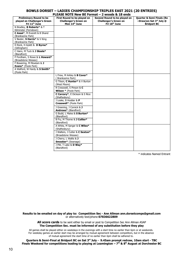#### **BOWLS DORSET – LADIES CHAMPIONSHIP TRIPLES EAST 2021 (20 ENTRIES) PLEASE NOTE New BE Format – 2 woods & 18 ends**

|                                   | SE NOTE NGW DE L'OLIN                      | Z WUUUS Q IU CHUS            |                           |
|-----------------------------------|--------------------------------------------|------------------------------|---------------------------|
| <b>Preliminary Round to be</b>    | First Round to be played on                | Second Round to be played on | Quarter & Semi Finals (Re |
| played on Challenger's Green      | <b>Challenger's Green on</b>               | <b>Challenger's Green on</b> | -Draw) on Sat 3rd July @  |
| Fri 11 <sup>th</sup> June         | Mon 14th June                              | Fri 18th June                | <b>Bridport BC</b>        |
| N Bradley, <b>B Roberts</b> * & T |                                            |                              |                           |
| Kilminster (Ferndown)             |                                            |                              |                           |
| C Assal*, M Everett & B Shand     |                                            |                              |                           |
| (Branksome Park)                  |                                            |                              |                           |
| V Baxter, S Harris* & V King      |                                            |                              |                           |
| (Branksome Park)                  |                                            |                              |                           |
| D Rock, H Aylett & D Byrne*       |                                            |                              |                           |
| (Gillingham)                      |                                            |                              |                           |
| C Hann, M Tuck & J Steele*        |                                            |                              |                           |
| (Blandford)                       |                                            |                              |                           |
| P Fordham, S Rowe & L Howard*     |                                            |                              |                           |
| (Broadstone Wessex)               |                                            |                              |                           |
| F Bowering, M Mowlam & J          |                                            |                              |                           |
| Evans* (Poole Park)               |                                            |                              |                           |
| A Walford, W Hardy & S Smith*     |                                            |                              |                           |
| (Poole Park)                      |                                            |                              |                           |
|                                   | L Frew, M Arkley & B Cover*                |                              |                           |
|                                   | (Branksome Park)                           |                              |                           |
|                                   | G Tilson, C Hunter* & V Burton             |                              |                           |
|                                   | (West Moors)                               |                              |                           |
|                                   | R Cresswell, S Pinson & C                  |                              |                           |
|                                   | <b>Wilson *</b> (Poole Park)               |                              |                           |
|                                   | C Carcary*, E Dickson & S Rice             |                              |                           |
|                                   | (Shaftesbury)                              |                              |                           |
|                                   | J Leake, B Hodder & P                      |                              |                           |
|                                   | Cresswell* (Poole Park)                    |                              |                           |
|                                   | J Greening, J Cornick & J                  |                              |                           |
|                                   | Andrews* (Blandford)                       |                              |                           |
|                                   |                                            |                              |                           |
|                                   | G Budd, L Males & S Burton*<br>(Blandford) |                              |                           |
|                                   | B Fry, M Thorne & J Collier*               |                              |                           |
|                                   | (Blandford)                                |                              |                           |
|                                   |                                            |                              |                           |
|                                   | A White, M Sanger & C Wiles*               |                              |                           |
|                                   | (Shaftesbury)                              |                              |                           |
|                                   | J Walters, J Cutler & C Sexton*            |                              |                           |
|                                   | (Broadstone Wessex)                        |                              |                           |
|                                   | J Cherry, L Wallis & J                     |                              |                           |
|                                   | Smooker* (Swanage)                         |                              |                           |
|                                   | J Pitt, T Lake & D Way*                    |                              |                           |
|                                   | (Blandford)                                |                              |                           |
|                                   |                                            |                              |                           |

\* indicates Named Entrant

**Results to be emailed on day of play to: Competition Sec - Ann Allman ann.dorsetcomps@gmail.com**  or alternatively text/phone **07836622809**

> **All score cards** to be sent either by email or post to Competition Sec Ann Allman ASAP **The Competition Sec. must be informed of any substitution before they play**

All games shall be played either on weekdays in the evenings with a start time no earlier than 6pm or at weekends.<br>-For weekday games an earlier start may be arranged by mutual agreement between competitors, but in the absence of mutual agreement the start time of no earlier than 6pm shall be adhered to.

**Quarters & Semi-Final at Bridport BC on Sat 3rd July - 9.45am prompt redraw, 10am start - TBC Finals Weekend for competitions leading to playing at Leamington – 7th & 8th August at Dorchester BC**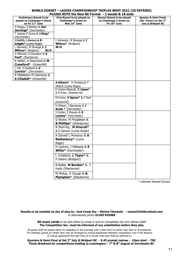#### **BOWLS DORSET – LADIES CHAMPIONSHIP TRIPLES WEST 2021 (20 ENTRIES) PLEASE NOTE the New RE Format - 2 woods & 18 ends**

| <b>Preliminary Round to be</b><br>played on Challenger's Green<br>on Fri 11 <sup>th</sup> June | First Round to be played on<br><b>Challenger's Green on</b><br>Mon 14th June | PLEASE NUTE LITE NEW DE FORMAL - 2 WOODS & 10 ENDS<br>Second Round to be played<br>on Challenger's Green on<br>Fri 18th June | <b>Quarter &amp; Semi Finals</b><br>(Re-Draw) on Sat 3rd<br>July @ Bridport BC |
|------------------------------------------------------------------------------------------------|------------------------------------------------------------------------------|------------------------------------------------------------------------------------------------------------------------------|--------------------------------------------------------------------------------|
| S Maggs, S Bowley & Sue                                                                        |                                                                              |                                                                                                                              |                                                                                |
| Jennings* (Dorchester)                                                                         |                                                                              |                                                                                                                              |                                                                                |
| T Jeanes P Grove & J King*                                                                     |                                                                              |                                                                                                                              |                                                                                |
| (Dorchester)                                                                                   |                                                                              |                                                                                                                              |                                                                                |
| J Moffitt, J Parson & P                                                                        | L Kennedy, M Strange & J                                                     |                                                                                                                              |                                                                                |
| Knight* (Lyme Regis)                                                                           | <b>Willcox*</b> (Bridport)                                                   |                                                                                                                              |                                                                                |
| L Kennedy, M Strange & J<br><b>Willcox*</b> (Bridport)<br>W/O                                  | W/O                                                                          |                                                                                                                              |                                                                                |
| G Mitchell, D Davidson & S                                                                     |                                                                              |                                                                                                                              |                                                                                |
| Ford* (Sherborne)                                                                              |                                                                              |                                                                                                                              |                                                                                |
| K Hofen, K Desmond & M                                                                         |                                                                              |                                                                                                                              |                                                                                |
| <b>Crawford*</b> (Greenhill)                                                                   |                                                                              |                                                                                                                              |                                                                                |
| L Hill, S Hubbard & V                                                                          |                                                                              |                                                                                                                              |                                                                                |
| Cornick* (Dorchester)                                                                          |                                                                              |                                                                                                                              |                                                                                |
| R Middleton M Clements &                                                                       |                                                                              |                                                                                                                              |                                                                                |
| A Chislett* (Greenhill)                                                                        |                                                                              |                                                                                                                              |                                                                                |
|                                                                                                | A Allman* H Dowling & P                                                      |                                                                                                                              |                                                                                |
|                                                                                                | Weech (Lyme Regis)                                                           |                                                                                                                              |                                                                                |
|                                                                                                | E Carter-Wescott, C Jones*                                                   |                                                                                                                              |                                                                                |
|                                                                                                | & R Rose (Sherborne)                                                         |                                                                                                                              |                                                                                |
|                                                                                                | M Irvine, V Spicer* & C Rod                                                  |                                                                                                                              |                                                                                |
|                                                                                                | (Greenhill)                                                                  |                                                                                                                              |                                                                                |
|                                                                                                | H Wilson, J Narraway & J<br>Scola * (Dorchester)                             |                                                                                                                              |                                                                                |
|                                                                                                | J Corbin, E Peavoy & S<br>Lawley* (Dorchester)                               |                                                                                                                              |                                                                                |
|                                                                                                | G Shave, M Fitzgibbon &<br><b>B Phillips*</b> (Sherborne)                    |                                                                                                                              |                                                                                |
|                                                                                                | A Sherring, N Driscoll*<br>& E Sarson (Lyme Regis)                           |                                                                                                                              |                                                                                |
|                                                                                                | A Darvell C Pomeroy & A<br>Rattenbury* (Lyme                                 |                                                                                                                              |                                                                                |
|                                                                                                | Regis)                                                                       |                                                                                                                              |                                                                                |
|                                                                                                | H Lannon, J Gillespie & S<br>Willis* (Dorchester)                            |                                                                                                                              |                                                                                |
|                                                                                                | L Craddock, L Tayor* &<br>P Daters (Bridport)                                |                                                                                                                              |                                                                                |
|                                                                                                | B Noble, M Burden* & J<br>Hyde (Sherborne)                                   |                                                                                                                              |                                                                                |
|                                                                                                | M McKay, A Clough & B<br>Plympton* (Sherborne)                               |                                                                                                                              |                                                                                |

\* indicates Named Entrant

#### **Results to be emailed on day of play to: Asst Comp Sec – Marion Clements - mazza5264@outlook.com** or alternatively phone **01305 835988**

#### **All score cards** to be sent either by email or post to Competition Sec Ann Allman ASAP **The Competition Sec. must be informed of any substitution before they play**

All games shall be played either on weekdays in the evenings with a start time no earlier than 6pm or at weekends. For weekday games an earlier start may be arranged by mutual agreement between competitors, but in the absence of mutual agreement the start time of no earlier than 6pm shall be adhered to.

#### **Quarters & Semi-Final at Sat 3rd July @ Bridport BC - 9.45 prompt redraw - 10am start - TBC Finals Weekend for competitions leading to Leamington.– 7th & 8th August at Dorchester BC**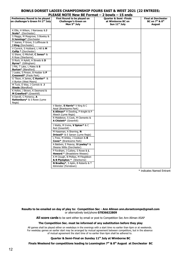#### **BOWLS DORSET LADIES CHAMPIONSHIP FOURS EAST & WEST 2021 (22 ENTRIES) PLEASE NOTE New BE Format – 2 bowls – 15 ends**

| BC on 7 <sup>th</sup> & 8 <sup>th</sup><br><b>Challenger's Green on</b><br>at Wimborne BC on<br>Mon 5 <sup>th</sup> July<br>Sun 11 <sup>th</sup> July<br><b>August</b><br>K Ellis, H Wilson, J Narraway & J<br><b>Scola*</b> (Dorchester)<br>S Maggs, M Musgrove, S Bowley &<br>S Jennings* (Dorchester<br>T Jeanes, P Grove, S Lofthouse &<br>J King (Dorchester)<br>V Cornick, S Hubbard, L Hill & M<br>Cullip * (Dorchester)<br>G Shave, G Mitchell, C Jones* &<br>R Rose (Sherborne)<br>D Rock, H Aylett, A Streets & D<br>Byrne* (Gillingham)<br>J Pitt, T Lake, L Males & S<br><b>Burton*</b> (Blandford)<br>J Leake, S Pinson, B Hodder & P<br>Cresswell* (Poole Park)<br>G Tilson, A James, C Hunter* &<br>V Burton (West Moors)<br>M Tuck, D Way, J Cornick & J<br><b>Steele</b> (Blandford)<br>K Hofen, J Brown, K Desmond &<br>M Crawford* (Greenhill)<br>A Darvill, C Pomeroy, A<br>Rattenbury* & S Rowe (Lyme<br>Regis)<br>V Baxter, S Harris* V King & C<br>Assal (Branksome Park)<br>A Allman* H Dowling, P Knight & P<br>Weech (Lyme Regis)<br>R Middleton, S Cook, M Clements &<br>A Chislett* (Greenhill)<br>J Watts, M Irvine, V Spicer* & C<br>Rod (Greenhill)<br>M Haseman, A Sherring, N<br><b>Driscoll*</b> & E Sarson (Lyme Regis)<br>L Frew, M Arkley, J Cookson & B<br>Cover* (Branksome Park)<br>A Baldwin, E Peavoy, S Lawley* &<br>Sheena Willis (Dorchester)<br>P Fordham, J Cutlery, S Rowe & L<br><b>Howard</b> * (Broadstone Wessex)<br>A M Clough, B Phillips, M Fitzgibbon<br>& B Plympton * (Sherborne) | <b>Preliminary Round to be played</b>          | PLEASE NOTE NEW BE FUITING<br>First Round to be played on | $ \angle$ DOWIS $-$ 1J CHUS<br><b>Quarter &amp; Semi - Finals</b> | <b>Final at Dorchester</b> |
|---------------------------------------------------------------------------------------------------------------------------------------------------------------------------------------------------------------------------------------------------------------------------------------------------------------------------------------------------------------------------------------------------------------------------------------------------------------------------------------------------------------------------------------------------------------------------------------------------------------------------------------------------------------------------------------------------------------------------------------------------------------------------------------------------------------------------------------------------------------------------------------------------------------------------------------------------------------------------------------------------------------------------------------------------------------------------------------------------------------------------------------------------------------------------------------------------------------------------------------------------------------------------------------------------------------------------------------------------------------------------------------------------------------------------------------------------------------------------------------------------------------------------------------------|------------------------------------------------|-----------------------------------------------------------|-------------------------------------------------------------------|----------------------------|
|                                                                                                                                                                                                                                                                                                                                                                                                                                                                                                                                                                                                                                                                                                                                                                                                                                                                                                                                                                                                                                                                                                                                                                                                                                                                                                                                                                                                                                                                                                                                             | on challenger's Green Fri 2 <sup>nd</sup> July |                                                           |                                                                   |                            |
|                                                                                                                                                                                                                                                                                                                                                                                                                                                                                                                                                                                                                                                                                                                                                                                                                                                                                                                                                                                                                                                                                                                                                                                                                                                                                                                                                                                                                                                                                                                                             |                                                |                                                           |                                                                   |                            |
|                                                                                                                                                                                                                                                                                                                                                                                                                                                                                                                                                                                                                                                                                                                                                                                                                                                                                                                                                                                                                                                                                                                                                                                                                                                                                                                                                                                                                                                                                                                                             |                                                |                                                           |                                                                   |                            |
|                                                                                                                                                                                                                                                                                                                                                                                                                                                                                                                                                                                                                                                                                                                                                                                                                                                                                                                                                                                                                                                                                                                                                                                                                                                                                                                                                                                                                                                                                                                                             |                                                |                                                           |                                                                   |                            |
|                                                                                                                                                                                                                                                                                                                                                                                                                                                                                                                                                                                                                                                                                                                                                                                                                                                                                                                                                                                                                                                                                                                                                                                                                                                                                                                                                                                                                                                                                                                                             |                                                |                                                           |                                                                   |                            |
|                                                                                                                                                                                                                                                                                                                                                                                                                                                                                                                                                                                                                                                                                                                                                                                                                                                                                                                                                                                                                                                                                                                                                                                                                                                                                                                                                                                                                                                                                                                                             |                                                |                                                           |                                                                   |                            |
|                                                                                                                                                                                                                                                                                                                                                                                                                                                                                                                                                                                                                                                                                                                                                                                                                                                                                                                                                                                                                                                                                                                                                                                                                                                                                                                                                                                                                                                                                                                                             |                                                |                                                           |                                                                   |                            |
|                                                                                                                                                                                                                                                                                                                                                                                                                                                                                                                                                                                                                                                                                                                                                                                                                                                                                                                                                                                                                                                                                                                                                                                                                                                                                                                                                                                                                                                                                                                                             |                                                |                                                           |                                                                   |                            |
|                                                                                                                                                                                                                                                                                                                                                                                                                                                                                                                                                                                                                                                                                                                                                                                                                                                                                                                                                                                                                                                                                                                                                                                                                                                                                                                                                                                                                                                                                                                                             |                                                |                                                           |                                                                   |                            |
|                                                                                                                                                                                                                                                                                                                                                                                                                                                                                                                                                                                                                                                                                                                                                                                                                                                                                                                                                                                                                                                                                                                                                                                                                                                                                                                                                                                                                                                                                                                                             |                                                |                                                           |                                                                   |                            |
|                                                                                                                                                                                                                                                                                                                                                                                                                                                                                                                                                                                                                                                                                                                                                                                                                                                                                                                                                                                                                                                                                                                                                                                                                                                                                                                                                                                                                                                                                                                                             |                                                |                                                           |                                                                   |                            |
|                                                                                                                                                                                                                                                                                                                                                                                                                                                                                                                                                                                                                                                                                                                                                                                                                                                                                                                                                                                                                                                                                                                                                                                                                                                                                                                                                                                                                                                                                                                                             |                                                |                                                           |                                                                   |                            |
|                                                                                                                                                                                                                                                                                                                                                                                                                                                                                                                                                                                                                                                                                                                                                                                                                                                                                                                                                                                                                                                                                                                                                                                                                                                                                                                                                                                                                                                                                                                                             |                                                |                                                           |                                                                   |                            |
|                                                                                                                                                                                                                                                                                                                                                                                                                                                                                                                                                                                                                                                                                                                                                                                                                                                                                                                                                                                                                                                                                                                                                                                                                                                                                                                                                                                                                                                                                                                                             |                                                |                                                           |                                                                   |                            |
|                                                                                                                                                                                                                                                                                                                                                                                                                                                                                                                                                                                                                                                                                                                                                                                                                                                                                                                                                                                                                                                                                                                                                                                                                                                                                                                                                                                                                                                                                                                                             |                                                |                                                           |                                                                   |                            |
|                                                                                                                                                                                                                                                                                                                                                                                                                                                                                                                                                                                                                                                                                                                                                                                                                                                                                                                                                                                                                                                                                                                                                                                                                                                                                                                                                                                                                                                                                                                                             |                                                |                                                           |                                                                   |                            |
|                                                                                                                                                                                                                                                                                                                                                                                                                                                                                                                                                                                                                                                                                                                                                                                                                                                                                                                                                                                                                                                                                                                                                                                                                                                                                                                                                                                                                                                                                                                                             |                                                |                                                           |                                                                   |                            |
|                                                                                                                                                                                                                                                                                                                                                                                                                                                                                                                                                                                                                                                                                                                                                                                                                                                                                                                                                                                                                                                                                                                                                                                                                                                                                                                                                                                                                                                                                                                                             |                                                |                                                           |                                                                   |                            |
|                                                                                                                                                                                                                                                                                                                                                                                                                                                                                                                                                                                                                                                                                                                                                                                                                                                                                                                                                                                                                                                                                                                                                                                                                                                                                                                                                                                                                                                                                                                                             |                                                |                                                           |                                                                   |                            |
|                                                                                                                                                                                                                                                                                                                                                                                                                                                                                                                                                                                                                                                                                                                                                                                                                                                                                                                                                                                                                                                                                                                                                                                                                                                                                                                                                                                                                                                                                                                                             |                                                |                                                           |                                                                   |                            |
|                                                                                                                                                                                                                                                                                                                                                                                                                                                                                                                                                                                                                                                                                                                                                                                                                                                                                                                                                                                                                                                                                                                                                                                                                                                                                                                                                                                                                                                                                                                                             |                                                |                                                           |                                                                   |                            |
|                                                                                                                                                                                                                                                                                                                                                                                                                                                                                                                                                                                                                                                                                                                                                                                                                                                                                                                                                                                                                                                                                                                                                                                                                                                                                                                                                                                                                                                                                                                                             |                                                |                                                           |                                                                   |                            |
|                                                                                                                                                                                                                                                                                                                                                                                                                                                                                                                                                                                                                                                                                                                                                                                                                                                                                                                                                                                                                                                                                                                                                                                                                                                                                                                                                                                                                                                                                                                                             |                                                |                                                           |                                                                   |                            |
|                                                                                                                                                                                                                                                                                                                                                                                                                                                                                                                                                                                                                                                                                                                                                                                                                                                                                                                                                                                                                                                                                                                                                                                                                                                                                                                                                                                                                                                                                                                                             |                                                |                                                           |                                                                   |                            |
|                                                                                                                                                                                                                                                                                                                                                                                                                                                                                                                                                                                                                                                                                                                                                                                                                                                                                                                                                                                                                                                                                                                                                                                                                                                                                                                                                                                                                                                                                                                                             |                                                |                                                           |                                                                   |                            |
|                                                                                                                                                                                                                                                                                                                                                                                                                                                                                                                                                                                                                                                                                                                                                                                                                                                                                                                                                                                                                                                                                                                                                                                                                                                                                                                                                                                                                                                                                                                                             |                                                |                                                           |                                                                   |                            |
|                                                                                                                                                                                                                                                                                                                                                                                                                                                                                                                                                                                                                                                                                                                                                                                                                                                                                                                                                                                                                                                                                                                                                                                                                                                                                                                                                                                                                                                                                                                                             |                                                |                                                           |                                                                   |                            |
|                                                                                                                                                                                                                                                                                                                                                                                                                                                                                                                                                                                                                                                                                                                                                                                                                                                                                                                                                                                                                                                                                                                                                                                                                                                                                                                                                                                                                                                                                                                                             |                                                |                                                           |                                                                   |                            |
|                                                                                                                                                                                                                                                                                                                                                                                                                                                                                                                                                                                                                                                                                                                                                                                                                                                                                                                                                                                                                                                                                                                                                                                                                                                                                                                                                                                                                                                                                                                                             |                                                |                                                           |                                                                   |                            |
|                                                                                                                                                                                                                                                                                                                                                                                                                                                                                                                                                                                                                                                                                                                                                                                                                                                                                                                                                                                                                                                                                                                                                                                                                                                                                                                                                                                                                                                                                                                                             |                                                |                                                           |                                                                   |                            |
|                                                                                                                                                                                                                                                                                                                                                                                                                                                                                                                                                                                                                                                                                                                                                                                                                                                                                                                                                                                                                                                                                                                                                                                                                                                                                                                                                                                                                                                                                                                                             |                                                |                                                           |                                                                   |                            |
|                                                                                                                                                                                                                                                                                                                                                                                                                                                                                                                                                                                                                                                                                                                                                                                                                                                                                                                                                                                                                                                                                                                                                                                                                                                                                                                                                                                                                                                                                                                                             |                                                |                                                           |                                                                   |                            |
|                                                                                                                                                                                                                                                                                                                                                                                                                                                                                                                                                                                                                                                                                                                                                                                                                                                                                                                                                                                                                                                                                                                                                                                                                                                                                                                                                                                                                                                                                                                                             |                                                |                                                           |                                                                   |                            |
|                                                                                                                                                                                                                                                                                                                                                                                                                                                                                                                                                                                                                                                                                                                                                                                                                                                                                                                                                                                                                                                                                                                                                                                                                                                                                                                                                                                                                                                                                                                                             |                                                |                                                           |                                                                   |                            |
|                                                                                                                                                                                                                                                                                                                                                                                                                                                                                                                                                                                                                                                                                                                                                                                                                                                                                                                                                                                                                                                                                                                                                                                                                                                                                                                                                                                                                                                                                                                                             |                                                |                                                           |                                                                   |                            |
|                                                                                                                                                                                                                                                                                                                                                                                                                                                                                                                                                                                                                                                                                                                                                                                                                                                                                                                                                                                                                                                                                                                                                                                                                                                                                                                                                                                                                                                                                                                                             |                                                |                                                           |                                                                   |                            |
|                                                                                                                                                                                                                                                                                                                                                                                                                                                                                                                                                                                                                                                                                                                                                                                                                                                                                                                                                                                                                                                                                                                                                                                                                                                                                                                                                                                                                                                                                                                                             |                                                |                                                           |                                                                   |                            |
|                                                                                                                                                                                                                                                                                                                                                                                                                                                                                                                                                                                                                                                                                                                                                                                                                                                                                                                                                                                                                                                                                                                                                                                                                                                                                                                                                                                                                                                                                                                                             |                                                |                                                           |                                                                   |                            |
|                                                                                                                                                                                                                                                                                                                                                                                                                                                                                                                                                                                                                                                                                                                                                                                                                                                                                                                                                                                                                                                                                                                                                                                                                                                                                                                                                                                                                                                                                                                                             |                                                |                                                           |                                                                   |                            |
|                                                                                                                                                                                                                                                                                                                                                                                                                                                                                                                                                                                                                                                                                                                                                                                                                                                                                                                                                                                                                                                                                                                                                                                                                                                                                                                                                                                                                                                                                                                                             |                                                |                                                           |                                                                   |                            |
|                                                                                                                                                                                                                                                                                                                                                                                                                                                                                                                                                                                                                                                                                                                                                                                                                                                                                                                                                                                                                                                                                                                                                                                                                                                                                                                                                                                                                                                                                                                                             |                                                |                                                           |                                                                   |                            |
|                                                                                                                                                                                                                                                                                                                                                                                                                                                                                                                                                                                                                                                                                                                                                                                                                                                                                                                                                                                                                                                                                                                                                                                                                                                                                                                                                                                                                                                                                                                                             |                                                |                                                           |                                                                   |                            |
|                                                                                                                                                                                                                                                                                                                                                                                                                                                                                                                                                                                                                                                                                                                                                                                                                                                                                                                                                                                                                                                                                                                                                                                                                                                                                                                                                                                                                                                                                                                                             |                                                |                                                           |                                                                   |                            |
|                                                                                                                                                                                                                                                                                                                                                                                                                                                                                                                                                                                                                                                                                                                                                                                                                                                                                                                                                                                                                                                                                                                                                                                                                                                                                                                                                                                                                                                                                                                                             |                                                |                                                           |                                                                   |                            |
|                                                                                                                                                                                                                                                                                                                                                                                                                                                                                                                                                                                                                                                                                                                                                                                                                                                                                                                                                                                                                                                                                                                                                                                                                                                                                                                                                                                                                                                                                                                                             |                                                |                                                           |                                                                   |                            |
| N Bradley*, S Aplin, B Roberts & T                                                                                                                                                                                                                                                                                                                                                                                                                                                                                                                                                                                                                                                                                                                                                                                                                                                                                                                                                                                                                                                                                                                                                                                                                                                                                                                                                                                                                                                                                                          |                                                |                                                           |                                                                   |                            |
| Kilminster (Ferndown)                                                                                                                                                                                                                                                                                                                                                                                                                                                                                                                                                                                                                                                                                                                                                                                                                                                                                                                                                                                                                                                                                                                                                                                                                                                                                                                                                                                                                                                                                                                       |                                                |                                                           |                                                                   |                            |

\* indicates Named Entrant

#### **Results to be emailed on day of play to: Competition Sec - Ann Allman ann.dorsetcomps@gmail.com** or alternatively text/phone **07836622809**

**All score cards** to be sent either by email or post to Competition Sec Ann Allman ASAP

#### **The Competition Sec. must be informed of any substitution before they play**

All games shall be played either on weekdays in the evenings with a start time no earlier than 6pm or at weekends.<br>of mutual agreement the start time of no earlier than 6pm shall be adhered to. For weekday games an earlier start may be arranged by mutual agreement between competitors, but in the absence

#### **Quarter & Semi-Final on Sunday 11th July at Wimborne BC**

**Finals Weekend for competitions leading to Leamington 7th & 8th August at Dorchester BC**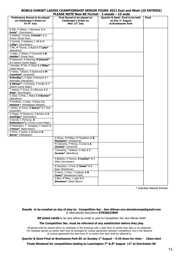## **BOWLS DORSET LADIES CHAMPIONSHIP SENIOR FOURS 2021 East and West (25 ENTRIES)**

| PLEASE NOTE New BE Format - 2 woods - 15 ends                                                 |                                                                                          |                                                                                                  |              |  |
|-----------------------------------------------------------------------------------------------|------------------------------------------------------------------------------------------|--------------------------------------------------------------------------------------------------|--------------|--|
| <b>Preliminary Round to be played</b><br>on Challenger's Green on<br>Fri 9 <sup>th</sup> July | First Round to be played on<br><b>Challenger's Green on</b><br>Mon 12 <sup>th</sup> July | <b>Quarter &amp; Semi-Final to be held</b><br>on Sun 1 <sup>st</sup> August<br>at Branksome Park | <b>Final</b> |  |
| K Ellis, H Wilson, J Narraway & J<br><b>Scola*</b> (Dorchester)                               |                                                                                          |                                                                                                  |              |  |
| A Walford, J Evans, S Smith* & S<br>Pinson (Poole Park)                                       |                                                                                          |                                                                                                  |              |  |
| V Cornick, S Hubbard, L Hill & M                                                              |                                                                                          |                                                                                                  |              |  |
| Cullip* (Dorchester)<br>J Pitt, M Thorne, G Budd & T Lake*                                    |                                                                                          |                                                                                                  |              |  |
| (Blandford)<br>J Leake, C Wilson, P Cresswell & B                                             |                                                                                          |                                                                                                  |              |  |
| Hodder* (Poole Park)                                                                          |                                                                                          |                                                                                                  |              |  |
| M Haseman, A Sherring, N Driscoll*<br>& E Sarson (Lyme Regis)                                 |                                                                                          |                                                                                                  |              |  |
| I Rumble, B Tite, P Chant & J Miles*<br>(West Moors)                                          |                                                                                          |                                                                                                  |              |  |
| K Hofen, J Brown, K Desmond & M<br>Crawford* (Greenhill)                                      |                                                                                          |                                                                                                  |              |  |
| N Bradley*, S Aplin, B Roberts & T<br>Kilminster (Ferndown)                                   |                                                                                          |                                                                                                  |              |  |
| A Allman*, H Dowling, P Knight & P<br>Weech (Lyme Regis)                                      |                                                                                          |                                                                                                  |              |  |
| T Jeanes, P Grove, S Lofthouse & J<br>King* (Dorchester)                                      |                                                                                          |                                                                                                  |              |  |
| C Hann, S Pink, L Males & S Burton*                                                           |                                                                                          |                                                                                                  |              |  |
| (Blandford)<br>P Fordham, J Cutler, S Rowe & L                                                |                                                                                          |                                                                                                  |              |  |
| <b>Howard</b> * (Broadstone Wessex)<br>J Watts, M Irvine, V Spicer* & C Rod                   |                                                                                          |                                                                                                  |              |  |
| (Greenhill)                                                                                   |                                                                                          |                                                                                                  |              |  |
| S Maggs, M Musgrove, S Bowley & S<br>Jennings* (Dorchester)                                   |                                                                                          |                                                                                                  |              |  |
| A Darvill, C Pomeroy, A<br><b>Rattenbury</b> *& S Rowe (Lyme Regis)                           |                                                                                          |                                                                                                  |              |  |
| M Riddington, T Douglass, P Jepson &                                                          |                                                                                          |                                                                                                  |              |  |
| J Pryce* (West Moors)<br>D Rock, H Aylett, A Streets & D                                      |                                                                                          |                                                                                                  |              |  |
| Byrne* (Gillingham)                                                                           | G Shave, B Phillips, M Fitzgibbon & B                                                    |                                                                                                  |              |  |
|                                                                                               | Plympton* (Sherborne)                                                                    |                                                                                                  |              |  |
|                                                                                               | M Clements, P McCoy, S Cook & A<br>Chislett* (Greenhill)                                 |                                                                                                  |              |  |
|                                                                                               | J Greening, J Walters, D Way & J<br>Cornick* (Blandford)                                 |                                                                                                  |              |  |
|                                                                                               | A Baldwin, E Peavoy, S Lawley* & S<br>Willis (Dorchester)                                |                                                                                                  |              |  |
|                                                                                               | D Davidson, S Ford, C Jones* & R<br>Rose (Sherborne)                                     |                                                                                                  |              |  |
|                                                                                               | S Harris, L Frew, J Cookson & B<br>Cover* (Branksome Park)                               |                                                                                                  |              |  |
|                                                                                               | S Bird, M Miles, L Light & J<br>Simmons* (West Moors)                                    |                                                                                                  |              |  |
|                                                                                               |                                                                                          |                                                                                                  |              |  |

\* indicates Named Entrant

#### **Results to be emailed on day of play to: Competition Sec - Ann Allman ann.dorsetcomps@gmail.com**  or alternatively text/phone **07836622809**

**All score cards** to be sent either by email or post to Competition Sec Ann Allman ASAP

#### **The Competition Sec. must be informed of any substitution before they play**

of mutual agreement the start time of no earlier than 6pm shall be adhered to. All games shall be played either on weekdays in the evenings with a start time no earlier than 6pm or at weekends. For weekday games an earlier start may be arranged by mutual agreement between competitors, but in the absence

#### **Quarter & Semi-Final at Branksome Park BC on Sunday 1st August – 9.45 draw for rinks - 10am start**

**Finals Weekend for competitions leading to Leamington 7th & 8th August 11th at Dorchester BC**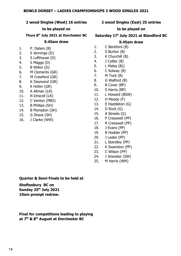#### **2 wood Singles (West) 16 entries**

#### **to be played on**

## **Thurs 8th July 2021 at Dorchester BC**

### **9.45am draw**

- 1. P. Daters (B)
- 2. S Jennings (D)
- 3. S Lofthouse (D)
- 4. S Maggs (D)
- 5. B Wilkin (D)
- 6. M Clements (GR)
- 7. M Crawford (GR)
- 8. K Desmond (GR)
- 9. K Hofen (GR)
- 10. A Allman (LR)
- 11. N Driscoll (LR)
- 12. C Venton (PBO)
- 13. B Phillips (SH)
- 14. B Plympton (SH)
- 15. G Shave (SH)
- 16. J Clarke (WW)

## **2 wood Singles (East) 25 entries**

#### **to be played on**

## **Saturday 17<sup>h</sup> July 2021 at Blandford BC**

## **9.45am draw**

- 1. C Beckford (B)
- 2. S Burton (B)
- 3. K Churchill (B)
- 4. J Collier (B)
- 5. L Males (B))
- 6. C Solway (B)
- 7. M Tuck (B)
- 8. G Walford (B)
- 9. B Cover (BP)
- 10. S Harris (BP)
- 11. L Howard (BSW)
- 12. H Moody (F)
- 13. E Haddleton (G)
- 14. D Rock (G)
- 15. A Streets (G)
- 16. P Cresswell (PP)
- 17. R Cresswell (PP)
- 18. J Evans (PP)
- 19. B Hodder (PP)
- 20. J Leake (PP)
- 21. L Standley (PP)
- 22. K Swanston (PP)
- 23. C Wilson (PP)
- 24. J Smooker (SW)
- 25. M Harris (WM)

**Quarter & Semi Finals to be held at** 

**Shaftesbury BC on Sunday 25th July 2021 10am prompt redraw.**

**Final for competitions leading to playing at 7th & 8th August at Dorchester BC**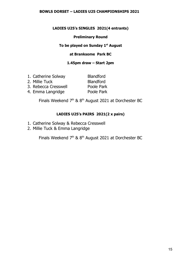#### **BOWLS DORSET – LADIES U25 CHAMPIONSHIPS 2021**

## **LADIES U25's SINGLES 2021(4 entrants)**

## **Preliminary Round**

## **To be played on Sunday 1st August**

## **at Branksome Park BC**

### **1.45pm draw – Start 2pm**

| 1. Catherine Solway  | <b>Blandford</b> |
|----------------------|------------------|
| 2. Millie Tuck       | <b>Blandford</b> |
| 3. Rebecca Cresswell | Poole Park       |
| 4. Emma Langridge    | Poole Park       |

Finals Weekend  $7<sup>th</sup>$  &  $8<sup>th</sup>$  August 2021 at Dorchester BC

## **LADIES U25's PAIRS 2021(2 x pairs)**

- 1. Catherine Solway & Rebecca Cresswell
- 2. Millie Tuck & Emma Langridge

Finals Weekend  $7<sup>th</sup>$  &  $8<sup>th</sup>$  August 2021 at Dorchester BC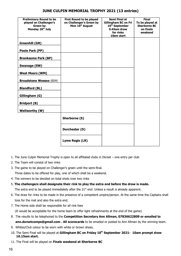| <b>Preliminary Round to be</b><br>played on Challenger's<br><b>Green by</b><br>Monday 26th July | First Round to be played<br>on Challenger's Green by<br>Mon 16 <sup>th</sup> August | <b>Semi Final at</b><br><b>Gillingham BC on Fri</b><br>10 <sup>th</sup> September<br>9.45am draw<br>for rinks<br>10am start | <b>Final</b><br>To be played at<br><b>Sherborne BC</b><br>on finals<br>weekend |
|-------------------------------------------------------------------------------------------------|-------------------------------------------------------------------------------------|-----------------------------------------------------------------------------------------------------------------------------|--------------------------------------------------------------------------------|
| <b>Greenhill (GR)</b>                                                                           |                                                                                     |                                                                                                                             |                                                                                |
| Poole Park (PP)                                                                                 |                                                                                     |                                                                                                                             |                                                                                |
| <b>Branksome Park (BP)</b>                                                                      |                                                                                     |                                                                                                                             |                                                                                |
| <b>Swanage (SW)</b>                                                                             |                                                                                     |                                                                                                                             |                                                                                |
| <b>West Moors (WM)</b>                                                                          |                                                                                     |                                                                                                                             |                                                                                |
| <b>Broadstone Wessex (BSW)</b>                                                                  |                                                                                     |                                                                                                                             |                                                                                |
| <b>Blandford (BL)</b>                                                                           |                                                                                     |                                                                                                                             |                                                                                |
| Gillingham (G)                                                                                  |                                                                                     |                                                                                                                             |                                                                                |
| <b>Bridport (B)</b>                                                                             |                                                                                     |                                                                                                                             |                                                                                |
| <b>Wellworthy (W)</b>                                                                           |                                                                                     |                                                                                                                             |                                                                                |
|                                                                                                 | Sherborne (S)                                                                       |                                                                                                                             |                                                                                |
|                                                                                                 | Dorchester (D)                                                                      |                                                                                                                             |                                                                                |
|                                                                                                 | <b>Lyme Regis (LR)</b>                                                              |                                                                                                                             |                                                                                |

#### **JUNE CULPIN MEMORIAL TROPHY 2021 (13 entries)**

- 1. The June Culpin Memorial Trophy is open to all affiliated clubs in Dorset one entry per club
- 2. The Team will consist of two rinks
- 3. The game to be played on Challenger's green until the semi-final.

Three dates to be offered for play, one of which shall be a weekend.

4. The winners to be decided on total shots over two rinks

#### 5. **The challengers shall designate their rink to play the extra end before the draw is made.**

The extra end to be played immediately after the  $21<sup>st</sup>$  end. Unless a result is already apparent.

- 6. The draw for rinks to be made in the presence of a competent umpire/person. At the same time the Captains shall toss for the mat and also the extra end.
- 7. The Home side shall be responsible for all rink fees

(It would be acceptable for the home team to offer light refreshments at the end of the game)

- 8. The results to be telephoned to the **Competition Secretary Ann Allman, 07836622809 or emailed to ann.dorsetcomps@gmail.com . All scorecards** to be emailed or posted to Ann Allman by the winning team.
- 9. Whites/Club colour to be worn with white or brown shoes.
- 10. The Semi Final will be played at **Gillingham BC on Friday 10th September 2021- 10am prompt draw 10.15am start.**
- 11. The Final will be played on **Finals weekend at Sherborne BC**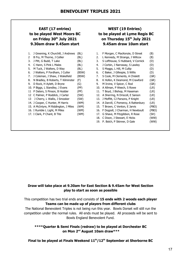## **EAST (17 entries) WEST (19 Entries) 9.30am draw 9.45am start 9.45am draw 10am start**

| 1.  | J Greening, K Churchill, J Andrews    | (BL)  |
|-----|---------------------------------------|-------|
| 2   | B Fry, M Thorne, J Collier            | (BL)  |
| 3.  | J Pitt, G Budd, T Lake                | (BL)  |
| 4.  | C Hann, S Pink L Males                | (BL)  |
| 5.  | M Tuck, J Walters, D Way              | (BL)  |
| 6.  | J Walters, P Fordham, J Cutler        | (BSW) |
| 7.  | J Coleman, J Shaw, J Wakefield        | (BSW) |
| 8.  | N Bradley, B Roberts, T Kilminster    | (F)   |
| 9.  | D Rock, H Aylett, D Bryne             | (G)   |
|     | 10. P Biggs, L Standley, J Evans      | (PP)  |
| 11  | P Daters, S Pinson, B Hodder          | (PP)  |
| 12  | C Palmer, P Roddick, J Carter         | (SW)  |
| 13. | J Cherry, L Wallis, J Smooker         | (SW)  |
|     | 14. J Cooper, C Hunter, M Harris      | (WM)  |
|     | 15. A McIntyre, M Riddington, J Miles | (WM)  |
|     | 16. I Rumble L Light, M Miles         | (WM)  |
|     | 17. I Clark, P Chant, B Tite          | (WM)  |
|     |                                       |       |
|     |                                       |       |

## **to be played West Moors BC to be played at Lyme Regis BC on Friday 30th July 2021 on Thursday 15th July 2021**

| 1. | J Greening, K Churchill, J Andrews    | (BL)  | 1.  | F Morgan, C MacKenzie, D Street        | (B)   |
|----|---------------------------------------|-------|-----|----------------------------------------|-------|
| 2  | B Fry, M Thorne, J Collier            | (BL)  | 2.  | L Kennedy, M Strange, J Willcox        | (B)   |
| 3. | J Pitt, G Budd, T Lake                | (BL)  | 3.  | S Lofthouse, S Hubbard, V Cornick      | (D)   |
| 4. | C Hann, S Pink L Males                | (BL)  | 4.  | J Corbin, J Narraway, S Lawley         | (D)   |
| 5. | M Tuck, J Walters, D Way              | (BL)  | 5.  | S Maggs, L Hill, M Cullip              | (D)   |
| 6. | J Walters, P Fordham, J Cutler        | (BSW) | 6.  | C Baker, J Gillespie, S Willis         | (D)   |
| 7. | J Coleman, J Shaw, J Wakefield        | (BSW) | 7.  | S Cook, M Clements, A Chislett         | (GR)  |
| 8. | N Bradley, B Roberts, T Kilminster    | (F)   | 8.  | K Hofen, K Desmond, M Crawford         | (GR)  |
|    | 9. D Rock, H Aylett, D Bryne          | (G)   | 9.  | M Irvine, V Spicer, C Rod              | (GR)  |
|    | 10. P Biggs, L Standley, J Evans      | (PP)  |     | 10. A Allman, P Weech, S Rowe          | (LR)  |
|    | 11 P Daters, S Pinson, B Hodder       | (PP)  |     | 11. T Boyd, J Bishop, M Haseman        | (LR)  |
|    | 12 C Palmer, P Roddick, J Carter      | (SW)  |     | 12. A Sherring, N Driscoll, E Sarson   | (LR)  |
|    | 13 J Cherry, L Wallis, J Smooker      | (SW)  |     | 13. J Moffitt, CJ Parsons, P Knight    | (LR)  |
|    | 14. J Cooper, C Hunter, M Harris      | (WM)  |     | 14. A Darvill, C Pomeroy, A Rattenbury | (LR)  |
|    | 15. A McIntyre, M Riddington, J Miles | (WM)  |     | 15. T Brown, C Venton, E Jarvis        | (PBO) |
|    | 16. I Rumble L Light, M Miles         | (WM)  | 16. | F Dogzell, J Charman, H Newboult       | (PBO) |
|    | 17. I Clark, P Chant, B Tite          | (WM)  | 17. | G Shave, M Fitzgibbon, R Rose          | (SH)  |
|    |                                       |       | 18. | C Dixon, J Stewart, E Hicks            | (WW)  |
|    |                                       |       | 19. | P. Bolch, P Skinner, D Gale            | (WW)  |
|    |                                       |       |     |                                        |       |

## **Draw will take place at 9.30am for East Section & 9.45am for West Section play to start as soon as possible**

This competition has two trial ends and consists of **15 ends with 2 woods each player Teams can be made up of players from different clubs**

The National Benevolent Triples is not being run this year. Bowls Dorset will still run the competition under the normal rules. All ends must be played. All proceeds will be sent to Bowls England Benevolent Fund.

**\*\*\*\*Quarter & Semi Finals (redraw) to be played at Dorchester BC on Mon 2nd August 10am draw\*\*\***

**Final to be played at Finals Weekend 11th/12th September at Sherborne BC**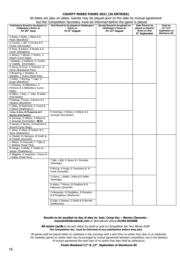#### **COUNTY MIXED FOURS 2021 (26 ENTRIES)**

All dates are play on dates. Games may be played prior to the date by mutual agreement but the Competition Secretary must be informed before the game is played

| Preliminary Round to be played on<br><b>Challenger's Green on</b> | but the Competition Secretary must be implified before the game is played.<br>First Round to be played on Challenger's<br>Green on | Second Round to be played on<br><b>Challenger's Green on</b> | Semi Final to be<br>played on Neutral            | <b>Final on</b><br>$11^{th}/12^{th}$ |
|-------------------------------------------------------------------|------------------------------------------------------------------------------------------------------------------------------------|--------------------------------------------------------------|--------------------------------------------------|--------------------------------------|
| Fri 25 <sup>th</sup> June                                         | Fri 6 <sup>th</sup> August                                                                                                         | Fri 13 <sup>th</sup> August                                  | <b>Green on Mon</b><br>6 <sup>th</sup> September | September at<br><b>Sherborne BC</b>  |
| G Budd, C Budd, L Males & B<br>Males (Blandford)                  |                                                                                                                                    |                                                              |                                                  |                                      |
| G Cornick, L Hill, V Cornick & R                                  |                                                                                                                                    |                                                              |                                                  |                                      |
| Fowler (Dorchester)                                               |                                                                                                                                    |                                                              |                                                  |                                      |
| D Rock, B Adams, A Streets & G<br>Carter (Gillingham)             |                                                                                                                                    |                                                              |                                                  |                                      |
| A Allman, T Allman, P Weech, A                                    |                                                                                                                                    |                                                              |                                                  |                                      |
| Weech (Lyme Regis)                                                |                                                                                                                                    |                                                              |                                                  |                                      |
| J Gillespie, S Hubbard, D Tremlin,                                |                                                                                                                                    |                                                              |                                                  |                                      |
| G Costello (Dorchester)<br>S Harris, B Cover, S Thomson, B        |                                                                                                                                    |                                                              |                                                  |                                      |
| Harris (Branksome Park)                                           |                                                                                                                                    |                                                              |                                                  |                                      |
| F Bowering, L Standley, R                                         |                                                                                                                                    |                                                              |                                                  |                                      |
| Standley, T Hume (Poole Park)                                     |                                                                                                                                    |                                                              |                                                  |                                      |
| J Collier, T Bryning, T Lake, D                                   |                                                                                                                                    |                                                              |                                                  |                                      |
| Burge (Blandford)<br>C Pomeroy, A Rattenbury, S                   |                                                                                                                                    |                                                              |                                                  |                                      |
| Pomeroy & A Rattenbury (Lyme                                      |                                                                                                                                    |                                                              |                                                  |                                      |
| Regis)                                                            |                                                                                                                                    |                                                              |                                                  |                                      |
| B Wilkin, J Weir, C Weir, M Wilkin                                |                                                                                                                                    |                                                              |                                                  |                                      |
| (Dorchester)<br>M Bishop, P Preen, S Burton & P                   |                                                                                                                                    |                                                              |                                                  |                                      |
| Hawkins (Blandford)                                               |                                                                                                                                    |                                                              |                                                  |                                      |
| C Wiles, W Eastmond, G Young &                                    |                                                                                                                                    |                                                              |                                                  |                                      |
| R Alford (Shaftesbury)                                            |                                                                                                                                    |                                                              |                                                  |                                      |
| J Cox, A Cox, M Musgrove & P                                      | R Jennings, H Wilson, A Wilson & S                                                                                                 |                                                              |                                                  |                                      |
| Barnes (Dorchester)<br>R Jennings, H Wilson, A Wilson &           | Jennings (Dorchester)                                                                                                              |                                                              |                                                  |                                      |
| S Jennings (Dorchester) W/O                                       |                                                                                                                                    |                                                              |                                                  |                                      |
| D Sarson, E Sarson, N Driscoll & B                                |                                                                                                                                    |                                                              |                                                  |                                      |
| Driscoll (Lyme Regis)                                             |                                                                                                                                    |                                                              |                                                  |                                      |
| C Dixon, E Hicks, B Hawker & D                                    |                                                                                                                                    |                                                              |                                                  |                                      |
| Hicks (Wellworthy)<br>A Chislett, M Clements, W Smith &           |                                                                                                                                    |                                                              |                                                  |                                      |
| M Chislett (Greenhill)                                            |                                                                                                                                    |                                                              |                                                  |                                      |
| C Wilson, R Cresswell, P Tidby &                                  |                                                                                                                                    |                                                              |                                                  |                                      |
| C Weekes (Poole Park)                                             |                                                                                                                                    |                                                              |                                                  |                                      |
| M Sanger, A White, P Tobbin & I<br>Sanger (Shaftesbury)           |                                                                                                                                    |                                                              |                                                  |                                      |
| D Stiggans, K Swanston, J Evans &                                 |                                                                                                                                    |                                                              |                                                  |                                      |
| J Hobby (Poole Park)                                              |                                                                                                                                    |                                                              |                                                  |                                      |
|                                                                   | T Bell, L Bell, R Senior & J Smooker                                                                                               |                                                              |                                                  |                                      |
|                                                                   | (Swanage)                                                                                                                          |                                                              |                                                  |                                      |
|                                                                   | P McCoy, H Foote, R Towndrow & B                                                                                                   |                                                              |                                                  |                                      |
|                                                                   | Foote (Greenhill)                                                                                                                  |                                                              |                                                  |                                      |
|                                                                   | J Cherry, L Wallis, J Kelly & G Wallis                                                                                             |                                                              |                                                  |                                      |
|                                                                   | (Swanage)                                                                                                                          |                                                              |                                                  |                                      |
|                                                                   | K Hofen, T Munro, M Crawford & B                                                                                                   |                                                              |                                                  |                                      |
|                                                                   | Patterson (Greenhill)                                                                                                              |                                                              |                                                  |                                      |
|                                                                   | D Alexander, M Fitzgibbon, B Plympton                                                                                              |                                                              |                                                  |                                      |
|                                                                   | & B Fitzgibbon (Sherborne)                                                                                                         |                                                              |                                                  |                                      |
|                                                                   |                                                                                                                                    |                                                              |                                                  |                                      |
|                                                                   | D Gale, P Skinner, G Smith & R Burnett<br>(Wellworthy)                                                                             |                                                              |                                                  |                                      |

#### **Results to be emailed on day of play to: Asst. Comp Sec – Marion Clements : mazza5264@outlook.com** or alternatively phone **01305 835988**

All score cards to be sent either by email or post to Competition Sec Ann Allman ASAP **The Competition Sec. must be informed of any substitution before they play**

of mutual agreement the start time of no earlier than 6pm shall be adhered to. All games shall be played either on weekdays in the evenings with a start time no earlier than 6pm or at weekends.<br>For weekday games an earlier start may be arranged by mutual agreement between competitors, but in the abs For weekday games an earlier start may be arranged by mutual agreement between competitors, but in the absence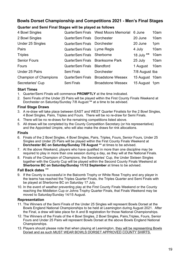## **Bowls Dorset Championship and Competitions 2021 - Men's Final Stages**

## **Quarter and Semi Final Stages will be played as follows**

| 4 Bowl Singles               | Quarter/Semi Finals | <b>West Moors Memorial</b> | 6 June         | 10am |
|------------------------------|---------------------|----------------------------|----------------|------|
| 2 Bowl Singles               | Quarter/Semi Finals | <b>Dorchester</b>          | 20 June        | 10am |
| Under 25 Singles             | Quarter/Semi Finals | Dorchester                 | 20 June        | 1pm  |
| Pairs                        | Quarter/Semi Finals | Lyme Regis                 | 4 July         | 10am |
| <b>Triples</b>               | Quarter/Semi Finals | Sherborne                  | 18 July **     | 10am |
| <b>Senior Fours</b>          | Quarter/Semi Finals | <b>Branksome Park</b>      | 25 July        | 10am |
| Fours                        | Quarter/Semi Finals | <b>Blandford</b>           | 1 August       | 10am |
| Under 25 Pairs               | Semi Finals         | Dorchester                 | 7/8 August tba |      |
| <b>Champion of Champions</b> | Quarter/Semi Finals | <b>Broadstone Wessex</b>   | 15 August 10am |      |
| Secretaries' Cup             | Semi Finals         | <b>Broadstone Wessex</b>   | 15 August 1pm  |      |

## **Start Times**

- 1. Quarter/Semi Finals will commence **PROMPTLY** at the time indicated.
- 2. Semi Finals of the Under 25 Pairs will be played within the First County Finals Weekend at Dorchester on Saturday/Sunday 7/8 August **\*\*** at a time to be advised.

## **Final Stage Draws**

- 3. A re-draw will take place between EAST and WEST Quarter Finalists for the 2 Bowl Singles, 4 Bowl Singles, Pairs, Triples and Fours. There will be no re-draw for Semi Finals.
- 4. There will be no re-draws for the remaining competitions listed above.
- 5. All draws will be completed by the County Competition Secretary (or his representative) and the Appointed Umpire, who will also make the draws for rink allocations.

## **Finals**

- 6. Finals of the 2 Bowl Singles, 4 Bowl Singles, Pairs, Triples, Fours, Senior Fours, Under 25 Singles and Under 25 Pairs will be played within the First County Finals Weekend at **Dorchester BC on Saturday/Sunday 7/8 August \*\*** at times to be advised.
- 7. At the above Weekend, players who have qualified in more than one discipline may be required to play in more than one session during a day, as they will at the National Finals.
- 8. Finals of the Champion of Champions, the Secretaries' Cup, the Under Sixteen Singles together with the County Cup will be played within the Second County Finals Weekend at **Sherborne BC on Saturday/Sunday 11/12 September** at times to be advised.

## **Fall Back dates** \*\*

- 9. If the County is successful in the Balcomb Trophy or White Rose Trophy and any player in the teams has reached the Triples Quarter Finals, the Triples Quarter and Semi Finals with be played at Sherborne BC on Saturday 17 July.
- 10. In the event of weather preventing play at the First County Finals Weekend or the County reaching the Middleton Cup or Johns Trophy Quarter Finals, that Finals Weekend may be moved to Saturday/Sunday 14/15 August.

## **Representation**

- 11. The Winners of the Semi Finals of the Under 25 Singles will represent Bowls Dorset at the Bowls England National Championships to be held at Leamington during August 2021. After the Final, a draw will take place for A and B registration for those National Championships.
- 12. The Winners of the Finals of the 4 Bowl Singles, 2 Bowl Singles, Pairs,Triples, Fours, Senior Fours and Under 25 Pairs will represent Bowls Dorset at the above Bowls England National Championships.
- 13. Players should please note that when playing at Leamington, they will be representing Bowls Dorset and as such MUST WEAR BOWLS DORSET APPROVED COUNTY SHIRTS.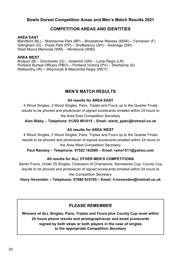## **Bowls Dorset Competition Areas and Men's Match Results 2021**

## **COMPETITION AREAS AND IDENTITIES**

#### **AREA EAST**

Blandford (BL) – Branksome Park (BP) – Broadstone Wessex (BSW) – Ferndown (F) Gillingham (G) – Poole Park (PP) – Shaftesbury (SH) – Swanage (SW) West Moors Memorial (WM) – Wimborne (WIM)

### **AREA WEST**

Bridport (B) – Dorchester (D) – Greenhill (GR) – Lyme Regis (LR) Portland Bortsal Officers (PBO) – Portland Victoria (PV) – Sherborne (S) Wellworthy (W) – Weymouth & Melcombe Regis (WEY)

## **MEN'S MATCH RESULTS**

#### **All results for AREA EAST**

results to be phoned and photo/scan of signed scorecards emailed within 24 hours to the Area East Competition Secretary 4 Wood Singles, 2 Wood Singles, Pairs, Triples and Fours up to the Quarter Finals

**Alan Blaby – Telephone: 01202 861015 – Email: alanb\_ppbc@hotmail.co.uk**

### **All results for AREA WEST**

 results to be phoned and photo/scan of signed scorecards emailed within 24 hours to the Area West Competition Secretary 4 Wood Singles, 2 Wood Singles, Pairs, Triples and Fours up to the Quarter Finals

#### **Paul Ramsey – Telephone: 07522 162680 – Email: rams1511@yahoo.com**

## **All results for ALL OTHER MEN'S COMPETITIONS**

Senior Fours, Under 25 Singles, Champion of Champions, Secretaries Cup, County Cup results to be phoned and photo/scan of signed scorecards emailed within 24 hours to the Competition Secretary

**Harry Hovenden – Telephone: 07880 933705 – Email: h.hovenden@hotmail.co.uk**

## **PLEASE REMEMBER**

**Winners of ALL Singles, Pairs, Triples and Fours plus County Cup must within 24 hours phone results and photograph/scan and email scorecards signed by both skips or both players in the case of singles to the appropriate Competition Secretary**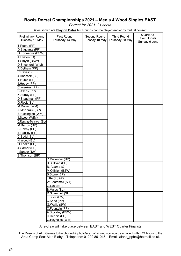## **Bowls Dorset Championships 2021 – Men's 4 Wood Singles EAST**

*Format for 2021: 21 shots*

Dates shown are **Play on Dates** but Rounds can be played earlier by mutual consent

|                          |                        |                |                    | Quarter &     |
|--------------------------|------------------------|----------------|--------------------|---------------|
| <b>Preliminary Round</b> | <b>First Round</b>     | Second Round   | <b>Third Round</b> | Semi Finals   |
| Tuesday 11 May           | Thursday 13 May        | Tuesday 18 May | Thursday 20 May    | Sunday 6 June |
| T.Poore (PP)             |                        |                |                    |               |
| D.Stiggants (PP)         |                        |                |                    |               |
| G.Fortescue (BSW)        |                        |                |                    |               |
| J.Elliston (G)           |                        |                |                    |               |
| T.Smyth (BSW)            |                        |                |                    |               |
| D.Shepherd (WIM)         |                        |                |                    |               |
| A.Dytham (PP)            |                        |                |                    |               |
| P.Ravelin (PP)           |                        |                |                    |               |
| J.Hancock (BL)           |                        |                |                    |               |
| T.Hume (PP)              |                        |                |                    |               |
| J.Hobby (PP)             |                        |                |                    |               |
| C.Weekes (PP)            |                        |                |                    |               |
| <b>B.Atkins</b> (PP)     |                        |                |                    |               |
| K.Surrey (PP)            |                        |                |                    |               |
| D.Steadman (PP)          |                        |                |                    |               |
| G.Rock (BL)              |                        |                |                    |               |
| M.Dower (WM)             |                        |                |                    |               |
| A.McKenzie (BP)          |                        |                |                    |               |
| S.Riddington (WM)        |                        |                |                    |               |
| J.Sweet (WIM)            |                        |                |                    |               |
| C.Rankine-McIntosh (BL)  |                        |                |                    |               |
| M.Barron (BP)            |                        |                |                    |               |
| B.Hobby (PP)             |                        |                |                    |               |
| B.Paulley (PP)           |                        |                |                    |               |
| C.Budd (BL)              |                        |                |                    |               |
| N.Wood (BL)              |                        |                |                    |               |
| O.Thake (PP)             |                        |                |                    |               |
| J.Garner (BP)            |                        |                |                    |               |
| I.Sanger (SH)            |                        |                |                    |               |
| S.Thomson (BP)           |                        |                |                    |               |
|                          | P.Mullender (BP)       |                |                    |               |
|                          |                        |                |                    |               |
|                          | <b>B.Sullivan (BP)</b> |                |                    |               |
|                          | B. Adams (G)           |                |                    |               |
|                          | M.O'Brien (BSW)        |                |                    |               |
|                          | B.Stone (BP)           |                |                    |               |
|                          | J.Kelly (SW)           |                |                    |               |
|                          | W.Scammell (SH)        |                |                    |               |
|                          | G.Cox (BP)             |                |                    |               |
|                          | B.Males (BL)           |                |                    |               |
|                          | R.Scammell (SH)        |                |                    |               |
|                          | T.Buck(SW)             |                |                    |               |
|                          | C.Kane (PP)            |                |                    |               |
|                          | G. Wallis (SW)         |                |                    |               |
|                          | C.Fountain (PP)        |                |                    |               |
|                          | A.Stockley (BSW)       |                |                    |               |
|                          | C.Dennis (BP)          |                |                    |               |
|                          | G.Reynolds (WM)        |                |                    |               |

A re-draw will take place between EAST and WEST Quarter Finalists

The Results of ALL Games to be phoned & photo/scan of signed scorecards emailed within 24 hours to the Area Comp Sec: Alan Blaby – Telephone: 01202 861015 – Email: alanb\_ppbc@hotmail.co.uk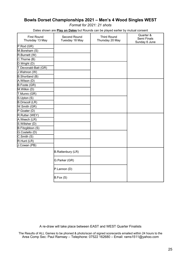## **Bowls Dorset Championships 2021 – Men's 4 Wood Singles WEST**

*Format for 2021: 21 shots*

Dates shown are **Play on Dates** but Rounds can be played earlier by mutual consent

| <b>First Round</b><br>Thursday 13 May | Second Round<br>Tuesday 18 May | <b>Third Round</b><br>Thursday 20 May | Quarter &<br>Semi Finals<br>Sunday 6 June |
|---------------------------------------|--------------------------------|---------------------------------------|-------------------------------------------|
| $P$ .Rod (GR)                         |                                |                                       |                                           |
| M.Boreham (S)                         |                                |                                       |                                           |
| R.Burnett (W)                         |                                |                                       |                                           |
| C.Thorne (B)                          |                                |                                       |                                           |
| D.Wright (D)                          |                                |                                       |                                           |
| T.Devonald-Batt (GR)                  |                                |                                       |                                           |
| U.Wahnon (W)                          |                                |                                       |                                           |
| B.Shortland (B)                       |                                |                                       |                                           |
| A.Wilson (D)                          |                                |                                       |                                           |
| B.Foote (GR)                          |                                |                                       |                                           |
| M.Wilkin (D)                          |                                |                                       |                                           |
| T.Munro (GR)                          |                                |                                       |                                           |
| S.Upton (S)                           |                                |                                       |                                           |
| <b>B.Driscoll (LR)</b>                |                                |                                       |                                           |
| W.Smith (GR)                          |                                |                                       |                                           |
| P.Goater (D)                          |                                |                                       |                                           |
| R.Rutter (WEY)                        |                                |                                       |                                           |
| A.Weech (LR)                          |                                |                                       |                                           |
| S.Willsher (D)                        |                                |                                       |                                           |
| B.Fitzgibbon (S)                      |                                |                                       |                                           |
| G.Costello (D)                        |                                |                                       |                                           |
| C.Smith (S)                           |                                |                                       |                                           |
| R.Hunt (LR)                           |                                |                                       |                                           |
| J.Cowan (PB)                          |                                |                                       |                                           |
|                                       | <b>B.Rattenbury (LR)</b>       |                                       |                                           |
|                                       | G.Parker (GR)                  |                                       |                                           |
|                                       | P.Lannon (D)                   |                                       |                                           |
|                                       | B.Fox(S)                       |                                       |                                           |

A re-draw will take place between EAST and WEST Quarter Finalists

The Results of ALL Games to be phoned & photo/scan of signed scorecards emailed within 24 hours to the Area Comp Sec: Paul Ramsey – Telephone: 07522 162680 – Email: rams1511@yahoo.com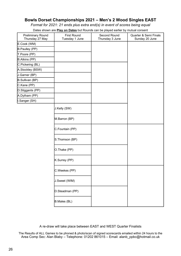## **Bowls Dorset Championships 2021 – Men's 2 Wood Singles EAST**

*Format for 2021: 21 ends plus extra end(s) in event of scores being equal*

Dates shown are **Play on Dates** but Rounds can be played earlier by mutual consent

| <b>Preliminary Round</b><br>Thursday 27 May | <b>First Round</b><br>Tuesday 1 June | Second Round<br>Thursday 3 June | Quarter & Semi Finals<br>Sunday 20 June |
|---------------------------------------------|--------------------------------------|---------------------------------|-----------------------------------------|
| E.Cook (WM)                                 |                                      |                                 |                                         |
| B.Paulley (PP)                              |                                      |                                 |                                         |
| T.Poore (PP)                                |                                      |                                 |                                         |
| B.Atkins (PP)                               |                                      |                                 |                                         |
| C.Pickering (BL)                            |                                      |                                 |                                         |
| A.Stockley (BSW)                            |                                      |                                 |                                         |
| J.Garner (BP)                               |                                      |                                 |                                         |
| B.Sullivan (BP)                             |                                      |                                 |                                         |
| C.Kane (PP)                                 |                                      |                                 |                                         |
| D.Stiggants (PP)                            |                                      |                                 |                                         |
| A.Dytham (PP)                               |                                      |                                 |                                         |
| I.Sanger (SH)                               |                                      |                                 |                                         |
|                                             | J.Kelly (SW)                         |                                 |                                         |
|                                             | M.Barron (BP)                        |                                 |                                         |
|                                             | C.Fountain (PP)                      |                                 |                                         |
|                                             | S. Thomson (BP)                      |                                 |                                         |
|                                             | O.Thake (PP)                         |                                 |                                         |
|                                             | K.Surrey (PP)                        |                                 |                                         |
|                                             | C.Weekes (PP)                        |                                 |                                         |
|                                             | J.Sweet (WIM)                        |                                 |                                         |
|                                             | D.Steadman (PP)                      |                                 |                                         |
|                                             | B.Males (BL)                         |                                 |                                         |

A re-draw will take place between EAST and WEST Quarter Finalists

The Results of ALL Games to be phoned & photo/scan of signed scorecards emailed within 24 hours to the Area Comp Sec: Alan Blaby – Telephone: 01202 861015 – Email: alanb\_ppbc@hotmail.co.uk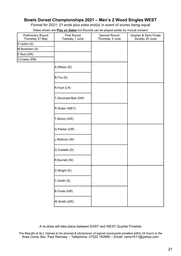## **Bowls Dorset Championships 2021 – Men's 2 Wood Singles WEST**

*Format for 2021: 21 ends plus extra end(s) in event of scores being equal*

Dates shown are **Play on Dates** but Rounds can be played earlier by mutual consent

|                                      |                                      | $\overline{\phantom{a}}$        |                                         |
|--------------------------------------|--------------------------------------|---------------------------------|-----------------------------------------|
| Preliminary Round<br>Thursday 27 May | <b>First Round</b><br>Tuesday 1 June | Second Round<br>Thursday 3 June | Quarter & Semi Finals<br>Sunday 20 June |
| S.Upton (S)                          |                                      |                                 |                                         |
| M.Boreham (S)                        |                                      |                                 |                                         |
| P.Rod (GR)                           |                                      |                                 |                                         |
| J.Cowan (PB)                         |                                      |                                 |                                         |
|                                      | A.Wilson (D)                         |                                 |                                         |
|                                      | B.Fox(S)                             |                                 |                                         |
|                                      | R.Hunt (LR)                          |                                 |                                         |
|                                      | T.Devonald-Batt (GR)                 |                                 |                                         |
|                                      | R.Rutter (WEY)                       |                                 |                                         |
|                                      | T.Munro (GR)                         |                                 |                                         |
|                                      | G.Parker (GR)                        |                                 |                                         |
|                                      | J.Wahnon (W)                         |                                 |                                         |
|                                      | G.Costello (D)                       |                                 |                                         |
|                                      | R.Burnett (W)                        |                                 |                                         |
|                                      | D.Wright (D)                         |                                 |                                         |
|                                      | C.Smith (S)                          |                                 |                                         |
|                                      | B.Foote (GR)                         |                                 |                                         |
|                                      | W.Smith (GR)                         |                                 |                                         |

A re-draw will take place between EAST and WEST Quarter Finalists

The Results of ALL Games to be phoned & photo/scan of signed scorecards emailed within 24 hours to the Area Comp Sec: Paul Ramsey – Telephone: 07522 162680 – Email: rams1511@yahoo.com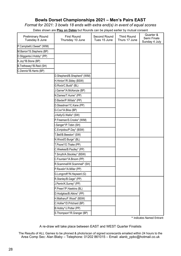## **Bowls Dorset Championships 2021 – Men's Pairs EAST**

*Format for 2021: 3 bowls 18 ends with extra end(s) in event of equal scores*

Dates shown are **Play on Dates** but Rounds can be played earlier by mutual consent

| <b>Preliminary Round</b><br>Tuesday 8 June | <b>First Round</b><br>Thursday 10 June | Second Round<br>Tues 15 June | <b>Third Round</b><br>Thurs 17 June | Quarter &<br>Semi Finals<br>Sunday 4 July |
|--------------------------------------------|----------------------------------------|------------------------------|-------------------------------------|-------------------------------------------|
| P.Campbell/J.Sweet* (WIM)                  |                                        |                              |                                     |                                           |
| M.Barron*/S.Stephens (BP)                  |                                        |                              |                                     |                                           |
| D.Stiggants/J.Hobby* (PP)                  |                                        |                              |                                     |                                           |
| K.Joy*/B.Stone (BP)                        |                                        |                              |                                     |                                           |
| B.Trethewey*/B.Reid (SH)                   |                                        |                              |                                     |                                           |
| C.Dennis*/B.Harris (BP)                    |                                        |                              |                                     |                                           |
|                                            | D.Shepherd/B.Shepherd* (WIM)           |                              |                                     |                                           |
|                                            | H.Hinton*/R.Sibley (BSW)               |                              |                                     |                                           |
|                                            | G.Rock/C.Budd* (BL)                    |                              |                                     |                                           |
|                                            | J.Garner*/A.McKenzie (BP)              |                              |                                     |                                           |
|                                            | N.Dames/T.Hume* (PP)                   |                              |                                     |                                           |
|                                            | D.Baxter/P.Willats* (PP)               |                              |                                     |                                           |
|                                            | D.Steadman*/C.Kane (PP)                |                              |                                     |                                           |
|                                            | G.Cox*/A.Bliss (BP)                    |                              |                                     |                                           |
|                                            | J.Kelly/G.Wallis* (SW)                 |                              |                                     |                                           |
|                                            | P.Freeman/S.Crooks* (WIM)              |                              |                                     |                                           |
|                                            | I.Sanger*/P.Tobin (SH)                 |                              |                                     |                                           |
|                                            | C.Evripidou/P.Day* (BSW)               |                              |                                     |                                           |
|                                            | T.Bell/B.Beeston* (SW)                 |                              |                                     |                                           |
|                                            | N.Wood/D.Burge* (BL)                   |                              |                                     |                                           |
|                                            | T.Poore*/O.Thake (PP)                  |                              |                                     |                                           |
|                                            | C.Weekes/B.Paulley* (PP)               |                              |                                     |                                           |
|                                            | T.Smyth/A.Stockley* (BSW)              |                              |                                     |                                           |
|                                            | C.Fountain*/A.Broom (PP)               |                              |                                     |                                           |
|                                            | R.Scammell/W.Scammell* (SH)            |                              |                                     |                                           |
|                                            | P.Ravelin*/A.Miller (PP)               |                              |                                     |                                           |
|                                            | G.Longcroft*/N.Hayward (G)             |                              |                                     |                                           |
|                                            | R.Stanley/B.Gage* (PP)                 |                              |                                     |                                           |
|                                            | J.Perrin/K.Surrey* (PP)                |                              |                                     |                                           |
|                                            | P.Preen*/P.Hawkins (BL)                |                              |                                     |                                           |
|                                            | D.Hodgkiss/B.Atkins* (PP)              |                              |                                     |                                           |
|                                            | H.Matharu/F.Wood* (BSW)                |                              |                                     |                                           |
|                                            | C.Hollier*/D.Pritchard (BP)            |                              |                                     |                                           |
|                                            | B.Hobby*/J.Potter (PP)                 |                              |                                     |                                           |
|                                            | S. Thompson*/R. Granger (BP)           |                              |                                     |                                           |

the second entrant, please see Bowls Dorset Regulation 11.6. indicates Named Entrant

A re-draw will take place between EAST and WEST Quarter Finalists

The Results of ALL Games to be phoned & photo/scan of signed scorecards emailed within 24 hours to the Area Comp Sec: Alan Blaby – Telephone: 01202 861015 – Email: alanb\_ppbc@hotmail.co.uk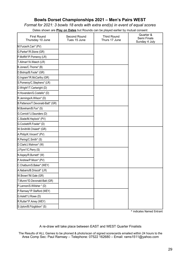## **Bowls Dorset Championships 2021 – Men's Pairs WEST**

*Format for 2021: 3 bowls 18 ends with extra end(s) in event of equal scores*

Dates shown are **Play on Dates** but Rounds can be played earlier by mutual consent

| <b>First Round</b><br>Thursday 10 June | Second Round<br>Tues 15 June | <b>Third Round</b><br>Thurs 17 June | Quarter &<br>Semi Finals<br>Sunday 4 July |
|----------------------------------------|------------------------------|-------------------------------------|-------------------------------------------|
| M.Furze/A.Carr* (PV)                   |                              |                                     |                                           |
| G.Parker*/R.Stone (GR)                 |                              |                                     |                                           |
| P.Moffitt*/P.Pomeroy (LR)              |                              |                                     |                                           |
| T.Allman*/A.Weech (LR)                 |                              |                                     |                                           |
| B.Jones/C.Thorne* (B)                  |                              |                                     |                                           |
| D.Bishop/B.Foote* (GR)                 |                              |                                     |                                           |
| G.Ingram*/R.McCarthy (GR)              |                              |                                     |                                           |
| S.Pomeroy/C.Stephens* (LR)             |                              |                                     |                                           |
| D.Wright*/T.Cartwright (D)             |                              |                                     |                                           |
| H.Hovenden/G.Costello* (D)             |                              |                                     |                                           |
| R.Jennings/A.Wilson* (D)               |                              |                                     |                                           |
| B.Patterson/T.Devonald-Batt* (GR)      |                              |                                     |                                           |
| M.Boreham/B.Fox* (S)                   |                              |                                     |                                           |
| G.Cornick*/J.Saunders (D)              |                              |                                     |                                           |
| C.Slade/M.Haylock* (PV)                |                              |                                     |                                           |
| G.Cockett/R.Fowler* (D)                |                              |                                     |                                           |
| W.Smith/M.Chislett* (GR)               |                              |                                     |                                           |
| A.Philip/K.Vincent* (PV)               |                              |                                     |                                           |
| R.Pering/C.Smith* (S)                  |                              |                                     |                                           |
| D.Clark/J.Wahnon* (W)                  |                              |                                     |                                           |
| J.Flynn*/C.Perry (S)                   |                              |                                     |                                           |
| N.Aspey/R.Burnett* (W)                 |                              |                                     |                                           |
| P.Andrew/P.Moon* (PV)                  |                              |                                     |                                           |
| C.Chatburn/S.Baker* (WEY)              |                              |                                     |                                           |
| A.Nabarro/B.Driscoll* (LR)             |                              |                                     |                                           |
| W.Brown*/M.Gale (GR)                   |                              |                                     |                                           |
| T.Munro*/D.Devonald-Batt (GR)          |                              |                                     |                                           |
| P.Lannon/S.Willsher * (D)              |                              |                                     |                                           |
| P.Ramsey*/P.Stafford (WEY)             |                              |                                     |                                           |
| G.Aslett*/J.Rowe (D)                   |                              |                                     |                                           |
| R.Rutter*/F.Amey (WEY)                 |                              |                                     |                                           |
| S.Upton/B.Fitzgibbon* (S)              |                              |                                     |                                           |

**\*** indicates Named Entrant

#### A re-draw will take place between EAST and WEST Quarter Finalists

The Results of ALL Games to be phoned & photo/scan of signed scorecards emailed within 24 hours to the Area Comp Sec: Paul Ramsey – Telephone: 07522 162680 – Email: rams1511@yahoo.com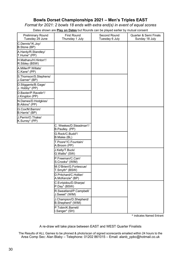## **Bowls Dorset Championships 2021 – Men's Triples EAST**

*Format for 2021: 2 bowls 18 ends with extra end(s) in event of equal scores*

Dates shown are **Play on Dates** but Rounds can be played earlier by mutual consent

| <b>Preliminary Round</b><br>Tuesday 29 June | <b>First Round</b><br>Thursday 1 July       | Second Round<br>Tuesday 6 July | <b>Quarter &amp; Semi Finals</b><br>Sunday 18 July |
|---------------------------------------------|---------------------------------------------|--------------------------------|----------------------------------------------------|
| C.Dennis*/K.Joy/<br>B.Stone (BP)            |                                             |                                |                                                    |
| A.Hardy/R.Standley/<br>T.Hume* (PP)         |                                             |                                |                                                    |
| H.Matharu/H.Hinton*/<br>R.Sibley (BSW)      |                                             |                                |                                                    |
| A.Miller/P.Willats/<br>C.Kane* (PP)         |                                             |                                |                                                    |
| S.Thomson/S.Stephens/<br>J.Garner* (BP)     |                                             |                                |                                                    |
| D.Stiggants/B.Gage/<br>J. Hobby* (PP)       |                                             |                                |                                                    |
| D.Baxter/P.Ravelin*/<br>J.Kingdon (PP)      |                                             |                                |                                                    |
| N.Dames/D.Hodgkiss/<br>B.Atkins* (PP)       |                                             |                                |                                                    |
| G.Cox/M.Barron/<br>B.Harris* (BP)           |                                             |                                |                                                    |
| J.Perrin/O.Thake/<br>K.Surrey* (PP)         |                                             |                                |                                                    |
|                                             | C. Weekes/D.Steadman*/<br>B.Paulley. (PP)   |                                |                                                    |
|                                             | G.Rock/C.Budd*/<br>B.Males (BL)             |                                |                                                    |
|                                             | T.Poore*/C.Fountain/<br>A.Broom (PP)        |                                |                                                    |
|                                             | J.Kelly/T.Buck/<br>G. Wallis* (SW)          |                                |                                                    |
|                                             | P.Freeman/C.Carr/<br>S.Crooks* (WIM)        |                                |                                                    |
|                                             | M.O'Brien/G.Fortescue/<br>T.Smyth* (BSW)    |                                |                                                    |
|                                             | D.Pritchard/C.Hollier/<br>A.McKenzie* (BP)  |                                |                                                    |
|                                             | C.Evripidou/D.Sharpe/<br>P.Day* (BSW)       |                                |                                                    |
|                                             | R.Sweatland/P.Campbell/<br>J.Sweet* (WIM)   |                                |                                                    |
|                                             | J.Champion/D.Shepherd/<br>B.Shepherd* (WIM) |                                |                                                    |
|                                             | P.Tobin/K.Barrett/<br>I.Sanger* (SH)        |                                |                                                    |

\* indicates Named Entrant

A re-draw will take place between EAST and WEST Quarter Finalists

The Results of ALL Games to be phoned & photo/scan of signed scorecards emailed within 24 hours to the Area Comp Sec: Alan Blaby – Telephone: 01202 861015 – Email: alanb\_ppbc@hotmail.co.uk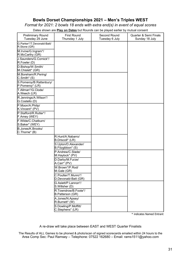## **Bowls Dorset Championships 2021 – Men's Triples WEST**

*Format for 2021: 2 bowls 18 ends with extra end(s) in event of equal scores*

Dates shown are **Play on Dates** but Rounds can be played earlier by mutual consent

| <b>Preliminary Round</b><br>Tuesday 29 June | <b>First Round</b><br>Thursday 1 July       | Second Round<br>Tuesday 6 July | <b>Quarter &amp; Semi Finals</b><br>Sunday 18 July |
|---------------------------------------------|---------------------------------------------|--------------------------------|----------------------------------------------------|
| G.Parker*/T.Devonald-Batt/<br>R.Stone (GR)  |                                             |                                |                                                    |
| M.Irvine/G.Ingram*/<br>R.McCarthy (GR)      |                                             |                                |                                                    |
| J.Saunders/G.Cornick*/<br>R.Fowler (D)      |                                             |                                |                                                    |
| D.Bishop/W.Smith/<br>M.Chislett* (GR)       |                                             |                                |                                                    |
| M.Boreham/R.Pering/<br>C.Smith* (S)         |                                             |                                |                                                    |
| S.Pomeroy/B.Rattenbury/<br>P.Pomeroy* (LR)  |                                             |                                |                                                    |
| T.Allman*/G.Clode/<br>A.Weech (LR)          |                                             |                                |                                                    |
| R.Jennings/A.Wilson*/<br>G.Costello (D)     |                                             |                                |                                                    |
| P.Moon/A.Philip/<br>K.Vincent* (PV)         |                                             |                                |                                                    |
| P.Stafford/R.Rutter*/<br>F.Amey (WEY)       |                                             |                                |                                                    |
| F.Wilde/C.Chatburn/<br>S.Baker* (WEY)       |                                             |                                |                                                    |
| B.Jones/K.Brooks/<br>C.Thorne* (B)          |                                             |                                |                                                    |
|                                             | R.Hunt/A.Nabarro/<br>B.Driscoll* (LR)       |                                |                                                    |
|                                             | S.Upton/D.Alexander/<br>B.Fitzgibbon* (S)   |                                |                                                    |
|                                             | P.Andrew/C.Slade/<br>M.Haylock* (PV)        |                                |                                                    |
|                                             | D.Darby/M.Furze/<br>A.Carr* (PV)            |                                |                                                    |
|                                             | W.Brown*/P.Rod/<br>M.Gale (GR)              |                                |                                                    |
|                                             | C.Poulter/T.Munro*/<br>D.Devonald-Batt (GR) |                                |                                                    |
|                                             | G.Aslett/P.Lannon*/<br>S. Willsher (D)      |                                |                                                    |
|                                             | R.Towndrow/B.Foote*/<br>B.Patterson (GR)    |                                |                                                    |
|                                             | A.Jones/N.Apsey/<br>R.Burnett* (W)          |                                |                                                    |
|                                             | S.Dowling/P.Moffitt/<br>C.Stephens* (LR)    |                                |                                                    |

\* indicates Named Entrant

A re-draw will take place between EAST and WEST Quarter Finalists

The Results of ALL Games to be phoned & photo/scan of signed scorecards emailed within 24 hours to the Area Comp Sec: Paul Ramsey – Telephone: 07522 162680 – Email: rams1511@yahoo.com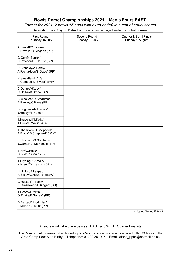## **Bowls Dorset Championships 2021 – Men's Fours EAST**

*Format for 2021: 2 bowls 15 ends with extra end(s) in event of equal scores*

Dates shown are **Play on Dates** but Rounds can be played earlier by mutual consent

| <b>First Round</b>                                   | Second Round    | <b>Quarter &amp; Semi Finals</b> |
|------------------------------------------------------|-----------------|----------------------------------|
| Thursday 15 July                                     | Tuesday 27 July | Sunday 1 August                  |
| A.Trevett/C.Fawkes/<br>P.Ravelin*/J.Kingdon (PP)     |                 |                                  |
| G.Cox/M.Barron/<br>D.Pritchard/B.Harris* (BP)        |                 |                                  |
| R.Standley/A.Hardy/<br>A.Richardson/B.Gage* (PP)     |                 |                                  |
| R.Sweatland/C.Carr/<br>P.Campbell/J.Sweet* (WIM)     |                 |                                  |
| C.Dennis*/K.Joy/<br>C.Hollier/B.Stone (BP)           |                 |                                  |
| C.Weekes*/D.Steadman/<br>B.Paulley/C.Kane (PP)       |                 |                                  |
| D.Stiggants/N.Dames/<br>J.Hobby*/T.Hume (PP)         |                 |                                  |
| J.Brudenell/J.Kelly/<br>T.Buck/G.Wallis* (SW)        |                 |                                  |
| J.Champion/D.Shepherd/<br>A.Blaby/ B.Shepherd* (WIM) |                 |                                  |
| S.Thomson/S.Stephens/<br>J.Garner*/A.McKenzie (BP)   |                 |                                  |
| B.Fry/G.Rock/<br>C.Budd*/B.Males (BL)                |                 |                                  |
| T.Bryning/N.Arnold/<br>P.Preen*/P.Hawkins (BL)       |                 |                                  |
| H.Hinton/A.Leaper/<br>R.Sibley/C.Howard* (BSW)       |                 |                                  |
| G.Russell/P.Tobin/<br>N.Greenwood/I.Sanger* (SH)     |                 |                                  |
| T.Poore/J.Perrin/<br>O.Thake/K.Surrey* (PP)          |                 |                                  |
| D.Baxter/D.Hodgkiss/<br>A.Miller/B.Atkins* (PP)      |                 |                                  |

\* indicates Named Entrant

A re-draw will take place between EAST and WEST Quarter Finalists

The Results of ALL Games to be phoned & photo/scan of signed scorecards emailed within 24 hours to the Area Comp Sec: Alan Blaby – Telephone: 01202 861015 – Email: alanb\_ppbc@hotmail.co.uk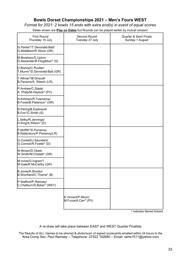## **Bowls Dorset Championships 2021 – Men's Fours WEST**

*Format for 2021: 2 bowls 15 ends with extra end(s) in event of equal scores*

Dates shown are **Play on Dates** but Rounds can be played earlier by mutual consent

| <b>First Round</b><br>Thursday 15 July                        | Second Round<br>Tuesday 27 July           | <b>Quarter &amp; Semi Finals</b><br>Sunday 1 August |
|---------------------------------------------------------------|-------------------------------------------|-----------------------------------------------------|
| G.Parker*/T.Devonald-Batt/<br>G.Middleton/R.Stone (GR)        |                                           |                                                     |
| M.Boreham/S.Upton/<br>D.Alexander/B.Fitzgibbon* (S)           |                                           |                                                     |
| D.Bishop/C.Poulter/<br>T.Munro*/D.Devonald-Batt (GR)          |                                           |                                                     |
| T.Allman*/B.Driscoll/<br>B.Parsons/A. Weech (LR)              |                                           |                                                     |
| P.Andrew/C.Slade/<br>A. Philip/M.Haylock* (PV)                |                                           |                                                     |
| N.Kirkham/R.Towndrow/<br>B.Foote/B.Patterson* (GR)            |                                           |                                                     |
| R.Pering/B.Eastment/<br>B.Fox*/C.Smith (S)                    |                                           |                                                     |
| L.Selby/R.Jennings/<br>H.King/A.Wilson* (D)                   |                                           |                                                     |
| P.Moffitt*/S.Pomeroy/<br>B.Rattenbury/P.Pomeroy(LR)           |                                           |                                                     |
| G.Cockett/J.Saunders/<br>G.Cornick/R.Fowler* (D)              |                                           |                                                     |
| W.Brown/D.Obee/<br>W.Smith/M.Chislett* (GR)                   |                                           |                                                     |
| M.Irvine/G.Ingram*/<br>M.Gale/R McCarthy (GR)                 |                                           |                                                     |
| B.Jones/K.Brooks/<br>B.Shortland/C.Thorne* (B)                |                                           |                                                     |
| P.Stafford/P.Ramsey/<br>C.Chatburn/S.Baker <sup>*</sup> (WEY) |                                           |                                                     |
|                                                               | K.Vincent/P.Moon/<br>M.Furze/A.Carr* (PV) |                                                     |

\* indicates Named Entrant

A re-draw will take place between EAST and WEST Quarter Finalists

The Results of ALL Games to be phoned & photo/scan of signed scorecards emailed within 24 hours to the Area Comp Sec: Paul Ramsey – Telephone: 07522 162680 – Email: rams1511@yahoo.com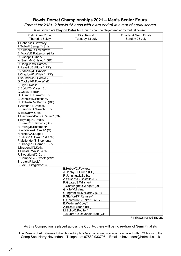## **Bowls Dorset Championships 2021 – Men's Senior Fours**

*Format for 2021: 2 bowls 15 ends with extra end(s) in event of equal scores*

Dates shown are **Play on Dates** but Rounds can be played earlier by mutual consent

| <b>Preliminary Round</b><br>Thursday 8 July    | <b>First Round</b><br>Tuesday 13 July | <b>Quarter &amp; Semi Finals</b><br>Sunday 25 July |  |
|------------------------------------------------|---------------------------------------|----------------------------------------------------|--|
|                                                |                                       |                                                    |  |
| T.Roberts/B.Bowdrey/<br>P.Tobin/I.Sanger* (SH) |                                       |                                                    |  |
| N.Kirkham/R.Towndrow/                          |                                       |                                                    |  |
| B.Foote*/B.Patterson (GR)                      |                                       |                                                    |  |
| D.Bishop/D.Obee/                               |                                       |                                                    |  |
| W.Smith/M.Chislett* (GR)                       |                                       |                                                    |  |
| D.Hodgkiss/N.Dames/                            |                                       |                                                    |  |
| P.Ravelin/B.Atkins* (PP)                       |                                       |                                                    |  |
| P.Standley/D.Baxter/                           |                                       |                                                    |  |
| J.Kingdon/P.Willats* (PP)                      |                                       |                                                    |  |
| J.Saunders/G.Cornick/                          |                                       |                                                    |  |
| G.Cockett/R.Fowler* (D)                        |                                       |                                                    |  |
| B.Fry/G.Rock/                                  |                                       |                                                    |  |
| C.Budd*/B.Males (BL)                           |                                       |                                                    |  |
| G.Cox/M.Barron/                                |                                       |                                                    |  |
| G.Shand/B.Harris* (BP)                         |                                       |                                                    |  |
| C.Dennis*/D.Pritchard/                         |                                       |                                                    |  |
| C.Hollier/A.McKenzie (BP)                      |                                       |                                                    |  |
| T.Allman*/B.Driscoll/                          |                                       |                                                    |  |
| B.Parsons/A Weech (LR)                         |                                       |                                                    |  |
| W.Brown/M.Gale/                                |                                       |                                                    |  |
| T.Devonald-Batt/G.Parker* (GR)                 |                                       |                                                    |  |
| T.Bryning/N.Arnold/                            |                                       |                                                    |  |
| P.Preen*/P.Hawkins (BL)                        |                                       |                                                    |  |
| R.Pering/B.Eastment/                           |                                       |                                                    |  |
| D.Whiteoak/C.Smith* (S)                        |                                       |                                                    |  |
| H.Hinton/A.Leaper/                             |                                       |                                                    |  |
| R.Sibley/C.Howard* (BSW)                       |                                       |                                                    |  |
| P.Mullender/S.Stephens/                        |                                       |                                                    |  |
| R.Granger/J.Garner* (BP)                       |                                       |                                                    |  |
| J.Brudenell/J.Kelly/                           |                                       |                                                    |  |
| T.Buck/G.Wallis* (SW)                          |                                       |                                                    |  |
| R.Sweatland/C.Carr/                            |                                       |                                                    |  |
| P.Campbell/J.Sweet* (WIM)                      |                                       |                                                    |  |
| S.Upton/P.Lock/                                |                                       |                                                    |  |
| B.Fox/B.Fitzgibbon* (S)                        |                                       |                                                    |  |
|                                                | B.Hobby/C.Fawkes/                     |                                                    |  |
|                                                | J.Hobby*/T.Hume (PP)                  |                                                    |  |
|                                                | R.Jennings/L.Selby/                   |                                                    |  |
|                                                | A.Wilson*/G.Costello (D)              |                                                    |  |
|                                                | P.Goater/S.Willsher/                  |                                                    |  |
|                                                | T.Cartwright/D.Wright* (D)            |                                                    |  |
|                                                | G.Kite/M.Irvine/                      |                                                    |  |
|                                                | G.Ingram*/R.McCarthy (GR)             |                                                    |  |
|                                                | P.Stafford/P.Ramsey/                  |                                                    |  |
|                                                | C.Chatburn/S.Baker* (WEY)             |                                                    |  |
|                                                | B.Wellman/K.Joy*/                     |                                                    |  |
|                                                | A.Bliss/B.Stone (BP)                  |                                                    |  |
|                                                | M.Zollo/C.Poulter/                    |                                                    |  |
|                                                | T.Munro*/D.Devonald-Batt (GR)         |                                                    |  |

\* indicates Named Entrant

As this Competition is played across the County, there will be no re-draw of Semi Finalists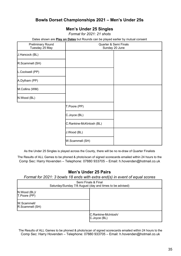## **Bowls Dorset Championships 2021 – Men's Under 25s**

## **Men's Under 25 Singles**

*Format for 2021: 21 shots*

Dates shown are **Play on Dates** but Rounds can be played earlier by mutual consent

| <b>Preliminary Round</b><br>Tuesday 25 May | <b>Quarter &amp; Semi Finals</b><br>Sunday 20 June |  |  |
|--------------------------------------------|----------------------------------------------------|--|--|
| J.Hancock (BL)                             |                                                    |  |  |
| R.Scammell (SH)                            |                                                    |  |  |
| L.Cockwell (PP)                            |                                                    |  |  |
| A.Dytham (PP)                              |                                                    |  |  |
| M.Collins (WM)                             |                                                    |  |  |
| N.Wood (BL)                                |                                                    |  |  |
|                                            | T.Poore (PP)                                       |  |  |
|                                            | C.Joyce (BL)                                       |  |  |
|                                            | C.Rankine-McKintosh (BL)                           |  |  |
|                                            | J.Wood (BL)                                        |  |  |
|                                            | W.Scammell (SH)                                    |  |  |

As the Under 25 Singles is played across the County, there will be no re-draw of Quarter Finalists

The Results of ALL Games to be phoned & photo/scan of signed scorecards emailed within 24 hours to the Comp Sec: Harry Hovenden – Telephone: 07880 933705 – Email: h.hovenden@hotmail.co.uk

## **Men's Under 25 Pairs**

*Format for 2021: 3 bowls 18 ends with extra end(s) in event of equal scores*

| Semi Finals & Final<br>Saturday/Sunday 7/8 August (day and times to be advised) |                                     |  |  |
|---------------------------------------------------------------------------------|-------------------------------------|--|--|
| N.Wood (BL)/<br>T.Poore (PP)                                                    |                                     |  |  |
| <b>W.Scammell/</b><br>R.Scammell (SH)                                           |                                     |  |  |
|                                                                                 | C.Rankine-McIntosh/<br>C.Joyce (BL) |  |  |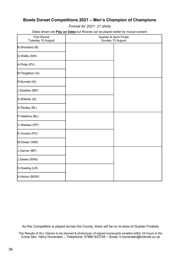## **Bowls Dorset Competitions 2021 – Men's Champion of Champions**

*Format for 2021: 21 shots*

Dates shown are **Play on Dates** but Rounds can be played earlier by mutual consent

| <b>First Round</b><br>Tuesday 10 August | Quarter & Semi Finals<br>Sunday 15 August |  |
|-----------------------------------------|-------------------------------------------|--|
| B.Shortland (B)                         |                                           |  |
| G.Wallis (SW)                           |                                           |  |
| A.Philip (PV)                           |                                           |  |
| B.Fitzgibbon (S)                        |                                           |  |
| R.Burnett (W)                           |                                           |  |
| J.Staddon (BP)                          |                                           |  |
| S.Willsher (D)                          |                                           |  |
| A.Paulley (BL)                          |                                           |  |
| P.Hawkins (BL)                          |                                           |  |
| C.Weekes (PP)                           |                                           |  |
| K.Vincent (PV)                          |                                           |  |
| M.Dower (WM)                            |                                           |  |
| J.Garner (BP)                           |                                           |  |
| J.Sweet (WIM)                           |                                           |  |
| S.Dowling (LR)                          |                                           |  |
| H.Hinton (BSW)                          |                                           |  |

As this Competition is played across the County, there will be no re-draw of Quarter Finalists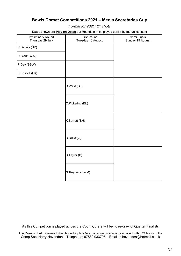## **Bowls Dorset Competitions 2021 – Men's Secretaries Cup**

*Format for 2021: 21 shots*

Dates shown are **Play on Dates** but Rounds can be played earlier by mutual consent

| <b>Preliminary Round</b><br>Thursday 29 July | <b>First Round</b><br>Tuesday 10 August | Semi Finals<br>Sunday 15 August |
|----------------------------------------------|-----------------------------------------|---------------------------------|
| C.Dennis (BP)                                |                                         |                                 |
| D.Clark (WW)                                 |                                         |                                 |
| P.Day (BSW)                                  |                                         |                                 |
| <b>B.Driscoll (LR)</b>                       |                                         |                                 |
|                                              | D.West (BL)                             |                                 |
|                                              | C.Pickering (BL)                        |                                 |
|                                              | K.Barrett (SH)                          |                                 |
|                                              | D.Duke(G)                               |                                 |
|                                              | B.Taylor(B)                             |                                 |
|                                              | G.Reynolds (WM)                         |                                 |

As this Competition is played across the County, there will be no re-draw of Quarter Finalists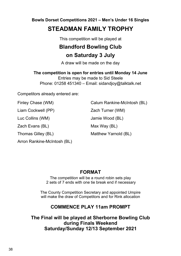**Bowls Dorset Competitions 2021 – Men's Under 16 Singles**

## **STEADMAN FAMILY TROPHY**

This competition will be played at

## **Blandford Bowling Club on Saturday 3 July**

A draw will be made on the day

**The competition is open for entries until Monday 14 June**

Entries may be made to Sid Steele Phone: 01258 451340 – Email: sidandjoy@talktalk.net

Competitors already entered are:

Liam Cockwell (PP)  $Zach Turner (WM)$ 

Zach Evans (BL) Max Way (BL)

Arron Rankine-McIntosh (BL)

Finley Chase (WM) Calum Rankine-McIntosh (BL)

Luc Collins (WM) Jamie Wood (BL)

Thomas Gilley (BL) Matthew Yarnold (BL)

## **FORMAT**

The competition will be a round robin sets play 2 sets of 7 ends with one tie break end if necessary

The County Competition Secretary and appointed Umpire will make the draw of Competitors and for Rink allocation

## **COMMENCE PLAY 11am PROMPT**

**The Final will be played at Sherborne Bowling Club during Finals Weekend Saturday/Sunday 12/13 September 2021**